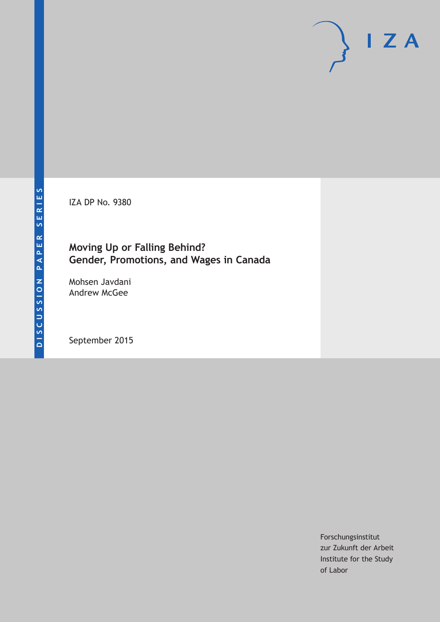IZA DP No. 9380

## **Moving Up or Falling Behind? Gender, Promotions, and Wages in Canada**

Mohsen Javdani Andrew McGee

September 2015

Forschungsinstitut zur Zukunft der Arbeit Institute for the Study of Labor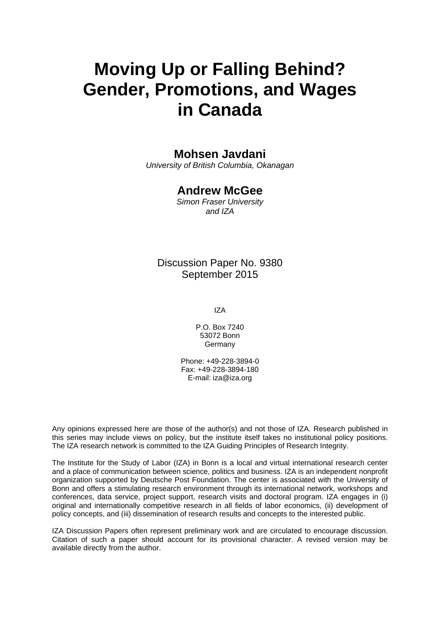# **Moving Up or Falling Behind? Gender, Promotions, and Wages in Canada**

### **Mohsen Javdani**

*University of British Columbia, Okanagan* 

### **Andrew McGee**

*Simon Fraser University and IZA* 

### Discussion Paper No. 9380 September 2015

IZA

P.O. Box 7240 53072 Bonn **Germany** 

Phone: +49-228-3894-0 Fax: +49-228-3894-180 E-mail: iza@iza.org

Any opinions expressed here are those of the author(s) and not those of IZA. Research published in this series may include views on policy, but the institute itself takes no institutional policy positions. The IZA research network is committed to the IZA Guiding Principles of Research Integrity.

The Institute for the Study of Labor (IZA) in Bonn is a local and virtual international research center and a place of communication between science, politics and business. IZA is an independent nonprofit organization supported by Deutsche Post Foundation. The center is associated with the University of Bonn and offers a stimulating research environment through its international network, workshops and conferences, data service, project support, research visits and doctoral program. IZA engages in (i) original and internationally competitive research in all fields of labor economics, (ii) development of policy concepts, and (iii) dissemination of research results and concepts to the interested public.

IZA Discussion Papers often represent preliminary work and are circulated to encourage discussion. Citation of such a paper should account for its provisional character. A revised version may be available directly from the author.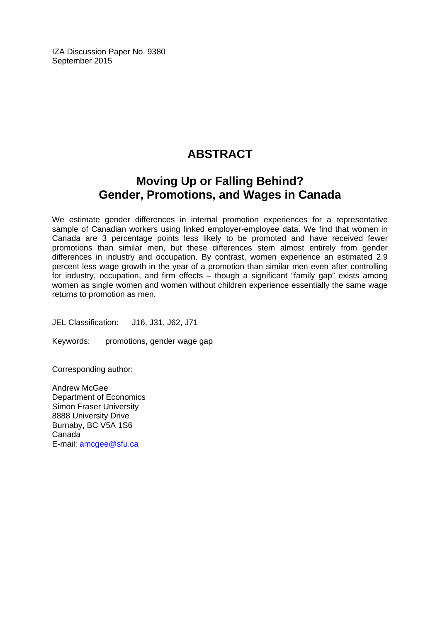IZA Discussion Paper No. 9380 September 2015

# **ABSTRACT**

# **Moving Up or Falling Behind? Gender, Promotions, and Wages in Canada**

We estimate gender differences in internal promotion experiences for a representative sample of Canadian workers using linked employer-employee data. We find that women in Canada are 3 percentage points less likely to be promoted and have received fewer promotions than similar men, but these differences stem almost entirely from gender differences in industry and occupation. By contrast, women experience an estimated 2.9 percent less wage growth in the year of a promotion than similar men even after controlling for industry, occupation, and firm effects – though a significant "family gap" exists among women as single women and women without children experience essentially the same wage returns to promotion as men.

JEL Classification: J16, J31, J62, J71

Keywords: promotions, gender wage gap

Corresponding author:

Andrew McGee Department of Economics Simon Fraser University 8888 University Drive Burnaby, BC V5A 1S6 Canada E-mail: amcgee@sfu.ca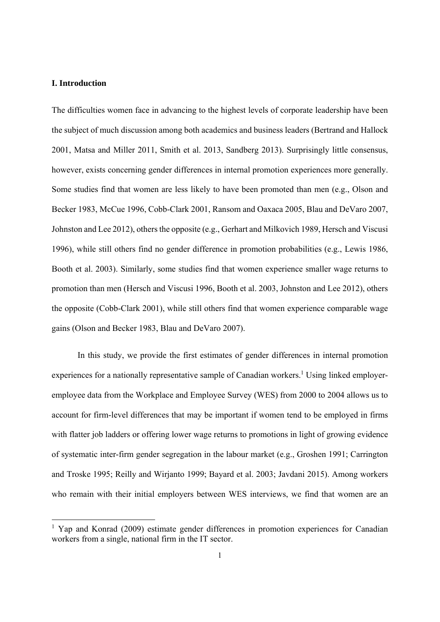#### **I. Introduction**

The difficulties women face in advancing to the highest levels of corporate leadership have been the subject of much discussion among both academics and business leaders (Bertrand and Hallock 2001, Matsa and Miller 2011, Smith et al. 2013, Sandberg 2013). Surprisingly little consensus, however, exists concerning gender differences in internal promotion experiences more generally. Some studies find that women are less likely to have been promoted than men (e.g., Olson and Becker 1983, McCue 1996, Cobb-Clark 2001, Ransom and Oaxaca 2005, Blau and DeVaro 2007, Johnston and Lee 2012), others the opposite (e.g., Gerhart and Milkovich 1989, Hersch and Viscusi 1996), while still others find no gender difference in promotion probabilities (e.g., Lewis 1986, Booth et al. 2003). Similarly, some studies find that women experience smaller wage returns to promotion than men (Hersch and Viscusi 1996, Booth et al. 2003, Johnston and Lee 2012), others the opposite (Cobb-Clark 2001), while still others find that women experience comparable wage gains (Olson and Becker 1983, Blau and DeVaro 2007).

 In this study, we provide the first estimates of gender differences in internal promotion experiences for a nationally representative sample of Canadian workers.<sup>1</sup> Using linked employeremployee data from the Workplace and Employee Survey (WES) from 2000 to 2004 allows us to account for firm-level differences that may be important if women tend to be employed in firms with flatter job ladders or offering lower wage returns to promotions in light of growing evidence of systematic inter-firm gender segregation in the labour market (e.g., Groshen 1991; Carrington and Troske 1995; Reilly and Wirjanto 1999; Bayard et al. 2003; Javdani 2015). Among workers who remain with their initial employers between WES interviews, we find that women are an

<sup>&</sup>lt;sup>1</sup> Yap and Konrad (2009) estimate gender differences in promotion experiences for Canadian workers from a single, national firm in the IT sector.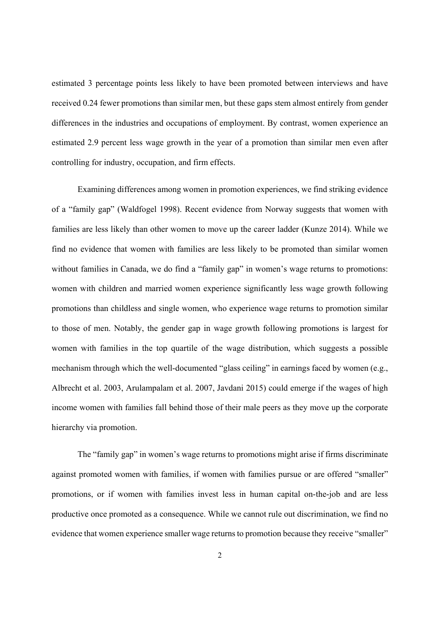estimated 3 percentage points less likely to have been promoted between interviews and have received 0.24 fewer promotions than similar men, but these gaps stem almost entirely from gender differences in the industries and occupations of employment. By contrast, women experience an estimated 2.9 percent less wage growth in the year of a promotion than similar men even after controlling for industry, occupation, and firm effects.

 Examining differences among women in promotion experiences, we find striking evidence of a "family gap" (Waldfogel 1998). Recent evidence from Norway suggests that women with families are less likely than other women to move up the career ladder (Kunze 2014). While we find no evidence that women with families are less likely to be promoted than similar women without families in Canada, we do find a "family gap" in women's wage returns to promotions: women with children and married women experience significantly less wage growth following promotions than childless and single women, who experience wage returns to promotion similar to those of men. Notably, the gender gap in wage growth following promotions is largest for women with families in the top quartile of the wage distribution, which suggests a possible mechanism through which the well-documented "glass ceiling" in earnings faced by women (e.g., Albrecht et al. 2003, Arulampalam et al. 2007, Javdani 2015) could emerge if the wages of high income women with families fall behind those of their male peers as they move up the corporate hierarchy via promotion.

 The "family gap" in women's wage returns to promotions might arise if firms discriminate against promoted women with families, if women with families pursue or are offered "smaller" promotions, or if women with families invest less in human capital on-the-job and are less productive once promoted as a consequence. While we cannot rule out discrimination, we find no evidence that women experience smaller wage returns to promotion because they receive "smaller"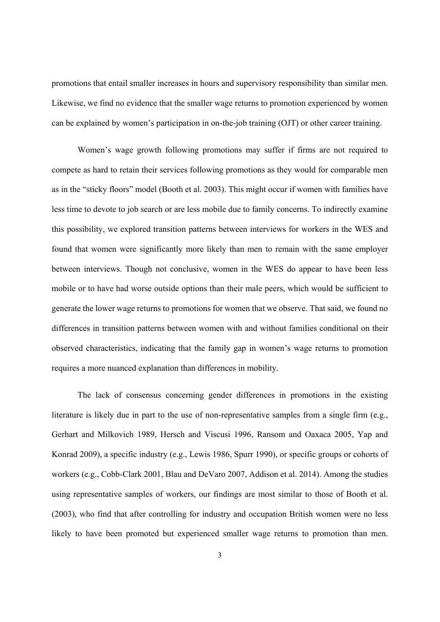promotions that entail smaller increases in hours and supervisory responsibility than similar men. Likewise, we find no evidence that the smaller wage returns to promotion experienced by women can be explained by women's participation in on-the-job training (OJT) or other career training.

 Women's wage growth following promotions may suffer if firms are not required to compete as hard to retain their services following promotions as they would for comparable men as in the "sticky floors" model (Booth et al. 2003). This might occur if women with families have less time to devote to job search or are less mobile due to family concerns. To indirectly examine this possibility, we explored transition patterns between interviews for workers in the WES and found that women were significantly more likely than men to remain with the same employer between interviews. Though not conclusive, women in the WES do appear to have been less mobile or to have had worse outside options than their male peers, which would be sufficient to generate the lower wage returns to promotions for women that we observe. That said, we found no differences in transition patterns between women with and without families conditional on their observed characteristics, indicating that the family gap in women's wage returns to promotion requires a more nuanced explanation than differences in mobility.

 The lack of consensus concerning gender differences in promotions in the existing literature is likely due in part to the use of non-representative samples from a single firm (e.g., Gerhart and Milkovich 1989, Hersch and Viscusi 1996, Ransom and Oaxaca 2005, Yap and Konrad 2009), a specific industry (e.g., Lewis 1986, Spurr 1990), or specific groups or cohorts of workers (e.g., Cobb-Clark 2001, Blau and DeVaro 2007, Addison et al. 2014). Among the studies using representative samples of workers, our findings are most similar to those of Booth et al. (2003), who find that after controlling for industry and occupation British women were no less likely to have been promoted but experienced smaller wage returns to promotion than men.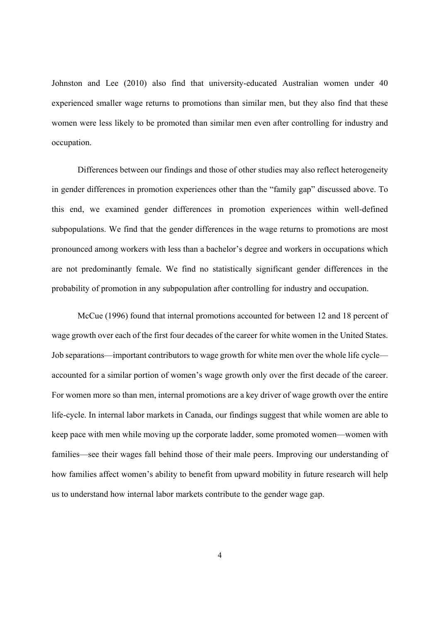Johnston and Lee (2010) also find that university-educated Australian women under 40 experienced smaller wage returns to promotions than similar men, but they also find that these women were less likely to be promoted than similar men even after controlling for industry and occupation.

 Differences between our findings and those of other studies may also reflect heterogeneity in gender differences in promotion experiences other than the "family gap" discussed above. To this end, we examined gender differences in promotion experiences within well-defined subpopulations. We find that the gender differences in the wage returns to promotions are most pronounced among workers with less than a bachelor's degree and workers in occupations which are not predominantly female. We find no statistically significant gender differences in the probability of promotion in any subpopulation after controlling for industry and occupation.

 McCue (1996) found that internal promotions accounted for between 12 and 18 percent of wage growth over each of the first four decades of the career for white women in the United States. Job separations—important contributors to wage growth for white men over the whole life cycle accounted for a similar portion of women's wage growth only over the first decade of the career. For women more so than men, internal promotions are a key driver of wage growth over the entire life-cycle. In internal labor markets in Canada, our findings suggest that while women are able to keep pace with men while moving up the corporate ladder, some promoted women—women with families—see their wages fall behind those of their male peers. Improving our understanding of how families affect women's ability to benefit from upward mobility in future research will help us to understand how internal labor markets contribute to the gender wage gap.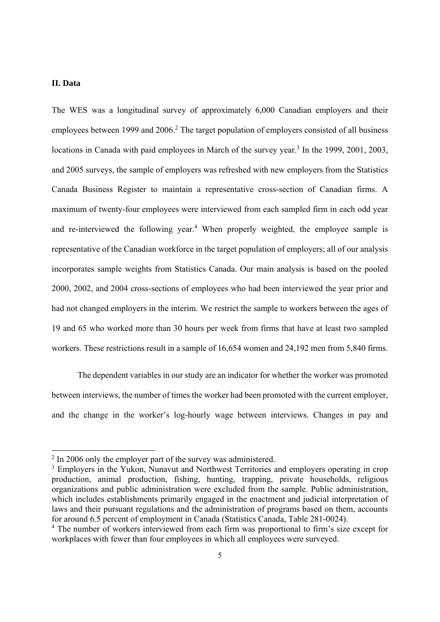#### **II. Data**

The WES was a longitudinal survey of approximately 6,000 Canadian employers and their employees between 1999 and  $2006<sup>2</sup>$ . The target population of employers consisted of all business locations in Canada with paid employees in March of the survey year.<sup>3</sup> In the 1999, 2001, 2003, and 2005 surveys, the sample of employers was refreshed with new employers from the Statistics Canada Business Register to maintain a representative cross-section of Canadian firms. A maximum of twenty-four employees were interviewed from each sampled firm in each odd year and re-interviewed the following year.<sup>4</sup> When properly weighted, the employee sample is representative of the Canadian workforce in the target population of employers; all of our analysis incorporates sample weights from Statistics Canada. Our main analysis is based on the pooled 2000, 2002, and 2004 cross-sections of employees who had been interviewed the year prior and had not changed employers in the interim. We restrict the sample to workers between the ages of 19 and 65 who worked more than 30 hours per week from firms that have at least two sampled workers. These restrictions result in a sample of 16,654 women and 24,192 men from 5,840 firms.

 The dependent variables in our study are an indicator for whether the worker was promoted between interviews, the number of times the worker had been promoted with the current employer, and the change in the worker's log-hourly wage between interviews. Changes in pay and

<sup>&</sup>lt;sup>2</sup> In 2006 only the employer part of the survey was administered.

<sup>&</sup>lt;sup>3</sup> Employers in the Yukon, Nunavut and Northwest Territories and employers operating in crop production, animal production, fishing, hunting, trapping, private households, religious organizations and public administration were excluded from the sample. Public administration, which includes establishments primarily engaged in the enactment and judicial interpretation of laws and their pursuant regulations and the administration of programs based on them, accounts for around 6.5 percent of employment in Canada (Statistics Canada, Table 281-0024).

<sup>&</sup>lt;sup>4</sup> The number of workers interviewed from each firm was proportional to firm's size except for workplaces with fewer than four employees in which all employees were surveyed.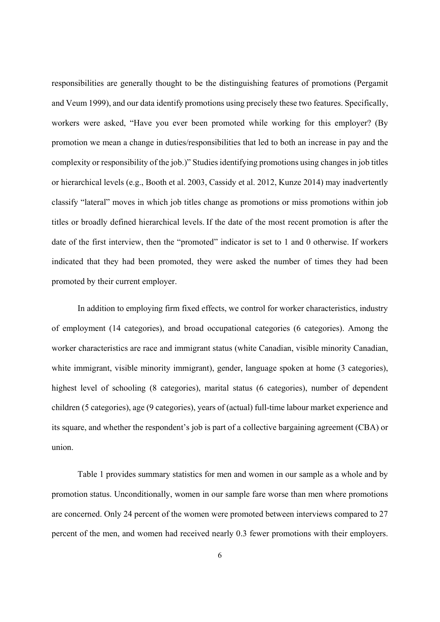responsibilities are generally thought to be the distinguishing features of promotions (Pergamit and Veum 1999), and our data identify promotions using precisely these two features. Specifically, workers were asked, "Have you ever been promoted while working for this employer? (By promotion we mean a change in duties/responsibilities that led to both an increase in pay and the complexity or responsibility of the job.)" Studies identifying promotions using changes in job titles or hierarchical levels (e.g., Booth et al. 2003, Cassidy et al. 2012, Kunze 2014) may inadvertently classify "lateral" moves in which job titles change as promotions or miss promotions within job titles or broadly defined hierarchical levels. If the date of the most recent promotion is after the date of the first interview, then the "promoted" indicator is set to 1 and 0 otherwise. If workers indicated that they had been promoted, they were asked the number of times they had been promoted by their current employer.

 In addition to employing firm fixed effects, we control for worker characteristics, industry of employment (14 categories), and broad occupational categories (6 categories). Among the worker characteristics are race and immigrant status (white Canadian, visible minority Canadian, white immigrant, visible minority immigrant), gender, language spoken at home (3 categories), highest level of schooling (8 categories), marital status (6 categories), number of dependent children (5 categories), age (9 categories), years of (actual) full-time labour market experience and its square, and whether the respondent's job is part of a collective bargaining agreement (CBA) or union.

 Table 1 provides summary statistics for men and women in our sample as a whole and by promotion status. Unconditionally, women in our sample fare worse than men where promotions are concerned. Only 24 percent of the women were promoted between interviews compared to 27 percent of the men, and women had received nearly 0.3 fewer promotions with their employers.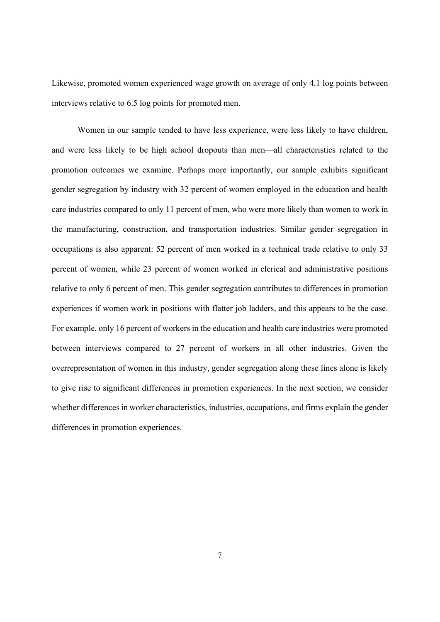Likewise, promoted women experienced wage growth on average of only 4.1 log points between interviews relative to 6.5 log points for promoted men.

 Women in our sample tended to have less experience, were less likely to have children, and were less likely to be high school dropouts than men—all characteristics related to the promotion outcomes we examine. Perhaps more importantly, our sample exhibits significant gender segregation by industry with 32 percent of women employed in the education and health care industries compared to only 11 percent of men, who were more likely than women to work in the manufacturing, construction, and transportation industries. Similar gender segregation in occupations is also apparent: 52 percent of men worked in a technical trade relative to only 33 percent of women, while 23 percent of women worked in clerical and administrative positions relative to only 6 percent of men. This gender segregation contributes to differences in promotion experiences if women work in positions with flatter job ladders, and this appears to be the case. For example, only 16 percent of workers in the education and health care industries were promoted between interviews compared to 27 percent of workers in all other industries. Given the overrepresentation of women in this industry, gender segregation along these lines alone is likely to give rise to significant differences in promotion experiences. In the next section, we consider whether differences in worker characteristics, industries, occupations, and firms explain the gender differences in promotion experiences.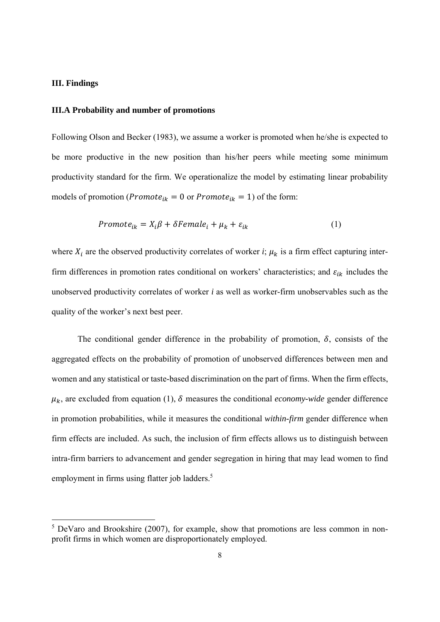#### **III. Findings**

#### **III.A Probability and number of promotions**

Following Olson and Becker (1983), we assume a worker is promoted when he/she is expected to be more productive in the new position than his/her peers while meeting some minimum productivity standard for the firm. We operationalize the model by estimating linear probability models of promotion (*Promote<sub>ik</sub>* = 0 or *Promote<sub>ik</sub>* = 1) of the form:

$$
Promote_{ik} = X_i \beta + \delta Female_i + \mu_k + \varepsilon_{ik}
$$
 (1)

where  $X_i$  are the observed productivity correlates of worker *i*;  $\mu_k$  is a firm effect capturing interfirm differences in promotion rates conditional on workers' characteristics; and  $\varepsilon_{ik}$  includes the unobserved productivity correlates of worker *i* as well as worker-firm unobservables such as the quality of the worker's next best peer.

The conditional gender difference in the probability of promotion,  $\delta$ , consists of the aggregated effects on the probability of promotion of unobserved differences between men and women and any statistical or taste-based discrimination on the part of firms. When the firm effects,  $\mu_k$ , are excluded from equation (1),  $\delta$  measures the conditional *economy-wide* gender difference in promotion probabilities, while it measures the conditional *within-firm* gender difference when firm effects are included. As such, the inclusion of firm effects allows us to distinguish between intra-firm barriers to advancement and gender segregation in hiring that may lead women to find employment in firms using flatter job ladders.<sup>5</sup>

<sup>&</sup>lt;sup>5</sup> DeVaro and Brookshire (2007), for example, show that promotions are less common in nonprofit firms in which women are disproportionately employed.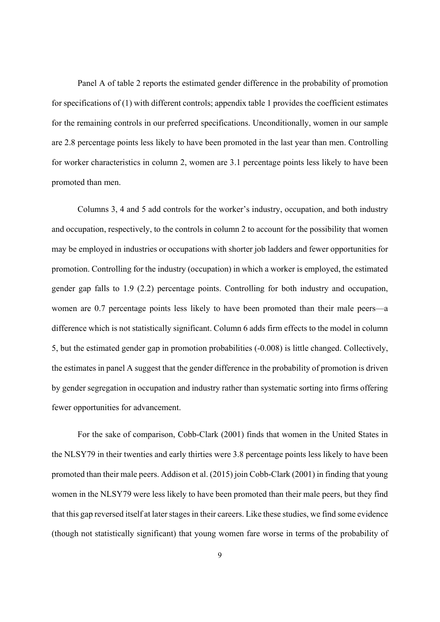Panel A of table 2 reports the estimated gender difference in the probability of promotion for specifications of (1) with different controls; appendix table 1 provides the coefficient estimates for the remaining controls in our preferred specifications. Unconditionally, women in our sample are 2.8 percentage points less likely to have been promoted in the last year than men. Controlling for worker characteristics in column 2, women are 3.1 percentage points less likely to have been promoted than men.

 Columns 3, 4 and 5 add controls for the worker's industry, occupation, and both industry and occupation, respectively, to the controls in column 2 to account for the possibility that women may be employed in industries or occupations with shorter job ladders and fewer opportunities for promotion. Controlling for the industry (occupation) in which a worker is employed, the estimated gender gap falls to 1.9 (2.2) percentage points. Controlling for both industry and occupation, women are 0.7 percentage points less likely to have been promoted than their male peers—a difference which is not statistically significant. Column 6 adds firm effects to the model in column 5, but the estimated gender gap in promotion probabilities (-0.008) is little changed. Collectively, the estimates in panel A suggest that the gender difference in the probability of promotion is driven by gender segregation in occupation and industry rather than systematic sorting into firms offering fewer opportunities for advancement.

 For the sake of comparison, Cobb-Clark (2001) finds that women in the United States in the NLSY79 in their twenties and early thirties were 3.8 percentage points less likely to have been promoted than their male peers. Addison et al. (2015) join Cobb-Clark (2001) in finding that young women in the NLSY79 were less likely to have been promoted than their male peers, but they find that this gap reversed itself at later stages in their careers. Like these studies, we find some evidence (though not statistically significant) that young women fare worse in terms of the probability of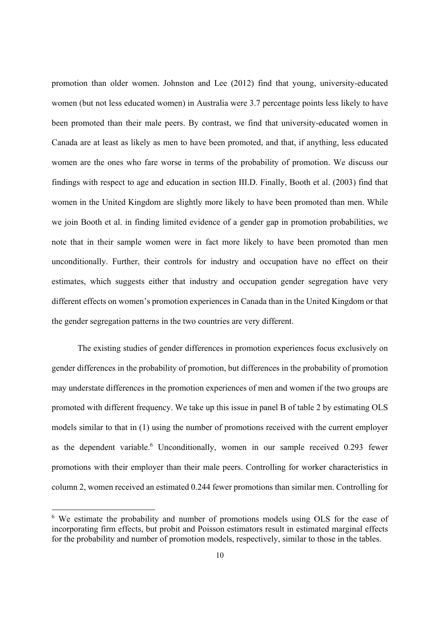promotion than older women. Johnston and Lee (2012) find that young, university-educated women (but not less educated women) in Australia were 3.7 percentage points less likely to have been promoted than their male peers. By contrast, we find that university-educated women in Canada are at least as likely as men to have been promoted, and that, if anything, less educated women are the ones who fare worse in terms of the probability of promotion. We discuss our findings with respect to age and education in section III.D. Finally, Booth et al. (2003) find that women in the United Kingdom are slightly more likely to have been promoted than men. While we join Booth et al. in finding limited evidence of a gender gap in promotion probabilities, we note that in their sample women were in fact more likely to have been promoted than men unconditionally. Further, their controls for industry and occupation have no effect on their estimates, which suggests either that industry and occupation gender segregation have very different effects on women's promotion experiences in Canada than in the United Kingdom or that the gender segregation patterns in the two countries are very different.

 The existing studies of gender differences in promotion experiences focus exclusively on gender differences in the probability of promotion, but differences in the probability of promotion may understate differences in the promotion experiences of men and women if the two groups are promoted with different frequency. We take up this issue in panel B of table 2 by estimating OLS models similar to that in (1) using the number of promotions received with the current employer as the dependent variable.<sup>6</sup> Unconditionally, women in our sample received 0.293 fewer promotions with their employer than their male peers. Controlling for worker characteristics in column 2, women received an estimated 0.244 fewer promotions than similar men. Controlling for

<sup>&</sup>lt;sup>6</sup> We estimate the probability and number of promotions models using OLS for the ease of incorporating firm effects, but probit and Poisson estimators result in estimated marginal effects for the probability and number of promotion models, respectively, similar to those in the tables.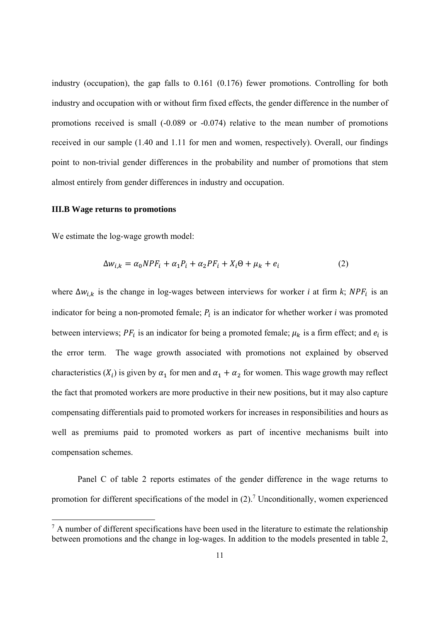industry (occupation), the gap falls to 0.161 (0.176) fewer promotions. Controlling for both industry and occupation with or without firm fixed effects, the gender difference in the number of promotions received is small (-0.089 or -0.074) relative to the mean number of promotions received in our sample (1.40 and 1.11 for men and women, respectively). Overall, our findings point to non-trivial gender differences in the probability and number of promotions that stem almost entirely from gender differences in industry and occupation.

#### **III.B Wage returns to promotions**

We estimate the log-wage growth model:

$$
\Delta w_{i,k} = \alpha_0 N P F_i + \alpha_1 P_i + \alpha_2 P F_i + X_i \Theta + \mu_k + e_i \tag{2}
$$

where  $\Delta w_{i,k}$  is the change in log-wages between interviews for worker *i* at firm *k*;  $NPF_i$  is an indicator for being a non-promoted female;  $P_i$  is an indicator for whether worker *i* was promoted between interviews;  $PF_i$  is an indicator for being a promoted female;  $\mu_k$  is a firm effect; and  $e_i$  is the error term. The wage growth associated with promotions not explained by observed characteristics ( $X_i$ ) is given by  $\alpha_1$  for men and  $\alpha_1 + \alpha_2$  for women. This wage growth may reflect the fact that promoted workers are more productive in their new positions, but it may also capture compensating differentials paid to promoted workers for increases in responsibilities and hours as well as premiums paid to promoted workers as part of incentive mechanisms built into compensation schemes.

 Panel C of table 2 reports estimates of the gender difference in the wage returns to promotion for different specifications of the model in  $(2)$ .<sup>7</sup> Unconditionally, women experienced

 $<sup>7</sup>$  A number of different specifications have been used in the literature to estimate the relationship</sup> between promotions and the change in log-wages. In addition to the models presented in table 2,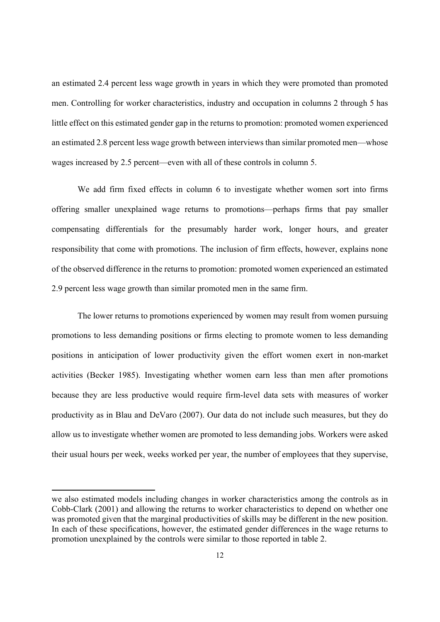an estimated 2.4 percent less wage growth in years in which they were promoted than promoted men. Controlling for worker characteristics, industry and occupation in columns 2 through 5 has little effect on this estimated gender gap in the returns to promotion: promoted women experienced an estimated 2.8 percent less wage growth between interviews than similar promoted men—whose wages increased by 2.5 percent—even with all of these controls in column 5.

 We add firm fixed effects in column 6 to investigate whether women sort into firms offering smaller unexplained wage returns to promotions—perhaps firms that pay smaller compensating differentials for the presumably harder work, longer hours, and greater responsibility that come with promotions. The inclusion of firm effects, however, explains none of the observed difference in the returns to promotion: promoted women experienced an estimated 2.9 percent less wage growth than similar promoted men in the same firm.

 The lower returns to promotions experienced by women may result from women pursuing promotions to less demanding positions or firms electing to promote women to less demanding positions in anticipation of lower productivity given the effort women exert in non-market activities (Becker 1985). Investigating whether women earn less than men after promotions because they are less productive would require firm-level data sets with measures of worker productivity as in Blau and DeVaro (2007). Our data do not include such measures, but they do allow us to investigate whether women are promoted to less demanding jobs. Workers were asked their usual hours per week, weeks worked per year, the number of employees that they supervise,

we also estimated models including changes in worker characteristics among the controls as in Cobb-Clark (2001) and allowing the returns to worker characteristics to depend on whether one was promoted given that the marginal productivities of skills may be different in the new position. In each of these specifications, however, the estimated gender differences in the wage returns to promotion unexplained by the controls were similar to those reported in table 2.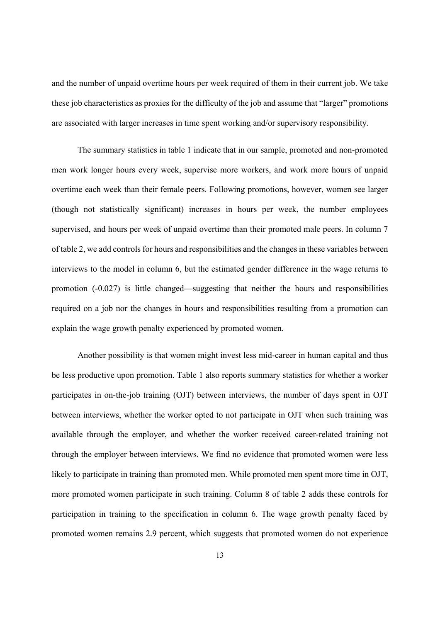and the number of unpaid overtime hours per week required of them in their current job. We take these job characteristics as proxies for the difficulty of the job and assume that "larger" promotions are associated with larger increases in time spent working and/or supervisory responsibility.

 The summary statistics in table 1 indicate that in our sample, promoted and non-promoted men work longer hours every week, supervise more workers, and work more hours of unpaid overtime each week than their female peers. Following promotions, however, women see larger (though not statistically significant) increases in hours per week, the number employees supervised, and hours per week of unpaid overtime than their promoted male peers. In column 7 of table 2, we add controls for hours and responsibilities and the changes in these variables between interviews to the model in column 6, but the estimated gender difference in the wage returns to promotion (-0.027) is little changed—suggesting that neither the hours and responsibilities required on a job nor the changes in hours and responsibilities resulting from a promotion can explain the wage growth penalty experienced by promoted women.

 Another possibility is that women might invest less mid-career in human capital and thus be less productive upon promotion. Table 1 also reports summary statistics for whether a worker participates in on-the-job training (OJT) between interviews, the number of days spent in OJT between interviews, whether the worker opted to not participate in OJT when such training was available through the employer, and whether the worker received career-related training not through the employer between interviews. We find no evidence that promoted women were less likely to participate in training than promoted men. While promoted men spent more time in OJT, more promoted women participate in such training. Column 8 of table 2 adds these controls for participation in training to the specification in column 6. The wage growth penalty faced by promoted women remains 2.9 percent, which suggests that promoted women do not experience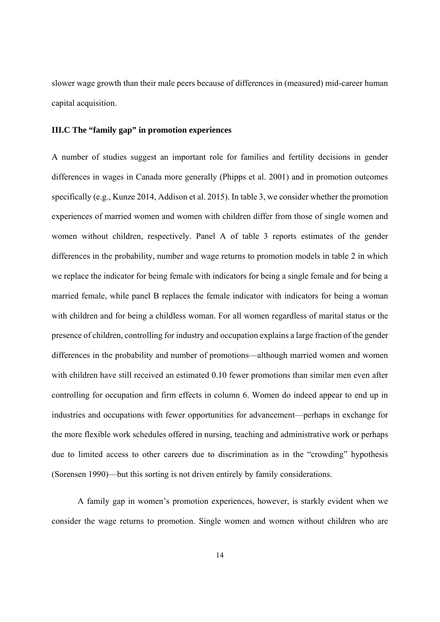slower wage growth than their male peers because of differences in (measured) mid-career human capital acquisition.

#### **III.C The "family gap" in promotion experiences**

A number of studies suggest an important role for families and fertility decisions in gender differences in wages in Canada more generally (Phipps et al. 2001) and in promotion outcomes specifically (e.g., Kunze 2014, Addison et al. 2015). In table 3, we consider whether the promotion experiences of married women and women with children differ from those of single women and women without children, respectively. Panel A of table 3 reports estimates of the gender differences in the probability, number and wage returns to promotion models in table 2 in which we replace the indicator for being female with indicators for being a single female and for being a married female, while panel B replaces the female indicator with indicators for being a woman with children and for being a childless woman. For all women regardless of marital status or the presence of children, controlling for industry and occupation explains a large fraction of the gender differences in the probability and number of promotions—although married women and women with children have still received an estimated 0.10 fewer promotions than similar men even after controlling for occupation and firm effects in column 6. Women do indeed appear to end up in industries and occupations with fewer opportunities for advancement—perhaps in exchange for the more flexible work schedules offered in nursing, teaching and administrative work or perhaps due to limited access to other careers due to discrimination as in the "crowding" hypothesis (Sorensen 1990)—but this sorting is not driven entirely by family considerations.

 A family gap in women's promotion experiences, however, is starkly evident when we consider the wage returns to promotion. Single women and women without children who are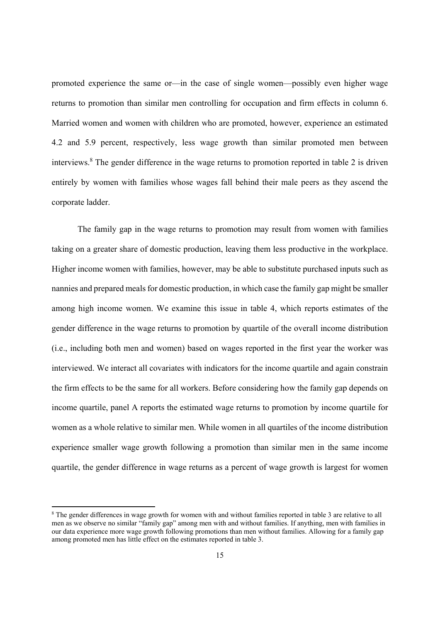promoted experience the same or—in the case of single women—possibly even higher wage returns to promotion than similar men controlling for occupation and firm effects in column 6. Married women and women with children who are promoted, however, experience an estimated 4.2 and 5.9 percent, respectively, less wage growth than similar promoted men between interviews.8 The gender difference in the wage returns to promotion reported in table 2 is driven entirely by women with families whose wages fall behind their male peers as they ascend the corporate ladder.

 The family gap in the wage returns to promotion may result from women with families taking on a greater share of domestic production, leaving them less productive in the workplace. Higher income women with families, however, may be able to substitute purchased inputs such as nannies and prepared meals for domestic production, in which case the family gap might be smaller among high income women. We examine this issue in table 4, which reports estimates of the gender difference in the wage returns to promotion by quartile of the overall income distribution (i.e., including both men and women) based on wages reported in the first year the worker was interviewed. We interact all covariates with indicators for the income quartile and again constrain the firm effects to be the same for all workers. Before considering how the family gap depends on income quartile, panel A reports the estimated wage returns to promotion by income quartile for women as a whole relative to similar men. While women in all quartiles of the income distribution experience smaller wage growth following a promotion than similar men in the same income quartile, the gender difference in wage returns as a percent of wage growth is largest for women

<sup>&</sup>lt;sup>8</sup> The gender differences in wage growth for women with and without families reported in table 3 are relative to all men as we observe no similar "family gap" among men with and without families. If anything, men with families in our data experience more wage growth following promotions than men without families. Allowing for a family gap among promoted men has little effect on the estimates reported in table 3.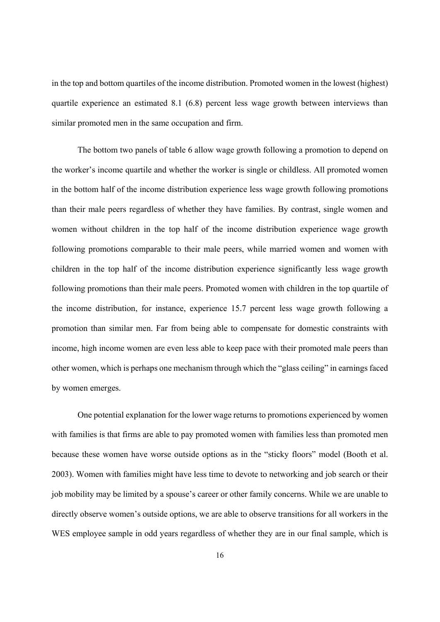in the top and bottom quartiles of the income distribution. Promoted women in the lowest (highest) quartile experience an estimated 8.1 (6.8) percent less wage growth between interviews than similar promoted men in the same occupation and firm.

 The bottom two panels of table 6 allow wage growth following a promotion to depend on the worker's income quartile and whether the worker is single or childless. All promoted women in the bottom half of the income distribution experience less wage growth following promotions than their male peers regardless of whether they have families. By contrast, single women and women without children in the top half of the income distribution experience wage growth following promotions comparable to their male peers, while married women and women with children in the top half of the income distribution experience significantly less wage growth following promotions than their male peers. Promoted women with children in the top quartile of the income distribution, for instance, experience 15.7 percent less wage growth following a promotion than similar men. Far from being able to compensate for domestic constraints with income, high income women are even less able to keep pace with their promoted male peers than other women, which is perhaps one mechanism through which the "glass ceiling" in earnings faced by women emerges.

 One potential explanation for the lower wage returns to promotions experienced by women with families is that firms are able to pay promoted women with families less than promoted men because these women have worse outside options as in the "sticky floors" model (Booth et al. 2003). Women with families might have less time to devote to networking and job search or their job mobility may be limited by a spouse's career or other family concerns. While we are unable to directly observe women's outside options, we are able to observe transitions for all workers in the WES employee sample in odd years regardless of whether they are in our final sample, which is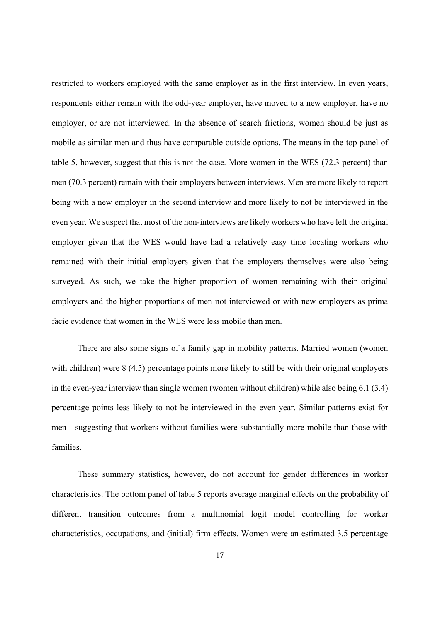restricted to workers employed with the same employer as in the first interview. In even years, respondents either remain with the odd-year employer, have moved to a new employer, have no employer, or are not interviewed. In the absence of search frictions, women should be just as mobile as similar men and thus have comparable outside options. The means in the top panel of table 5, however, suggest that this is not the case. More women in the WES (72.3 percent) than men (70.3 percent) remain with their employers between interviews. Men are more likely to report being with a new employer in the second interview and more likely to not be interviewed in the even year. We suspect that most of the non-interviews are likely workers who have left the original employer given that the WES would have had a relatively easy time locating workers who remained with their initial employers given that the employers themselves were also being surveyed. As such, we take the higher proportion of women remaining with their original employers and the higher proportions of men not interviewed or with new employers as prima facie evidence that women in the WES were less mobile than men.

 There are also some signs of a family gap in mobility patterns. Married women (women with children) were 8 (4.5) percentage points more likely to still be with their original employers in the even-year interview than single women (women without children) while also being 6.1 (3.4) percentage points less likely to not be interviewed in the even year. Similar patterns exist for men—suggesting that workers without families were substantially more mobile than those with families.

 These summary statistics, however, do not account for gender differences in worker characteristics. The bottom panel of table 5 reports average marginal effects on the probability of different transition outcomes from a multinomial logit model controlling for worker characteristics, occupations, and (initial) firm effects. Women were an estimated 3.5 percentage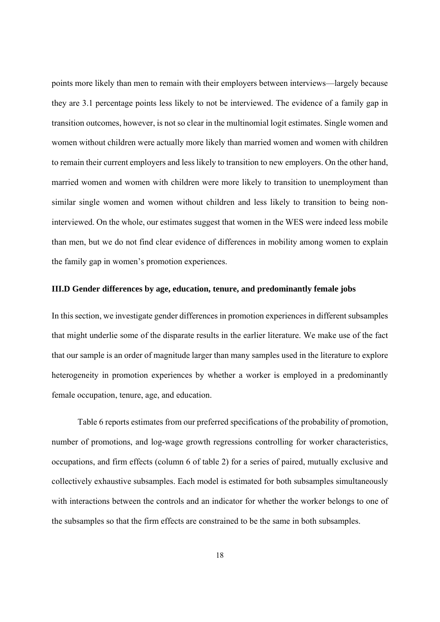points more likely than men to remain with their employers between interviews—largely because they are 3.1 percentage points less likely to not be interviewed. The evidence of a family gap in transition outcomes, however, is not so clear in the multinomial logit estimates. Single women and women without children were actually more likely than married women and women with children to remain their current employers and less likely to transition to new employers. On the other hand, married women and women with children were more likely to transition to unemployment than similar single women and women without children and less likely to transition to being noninterviewed. On the whole, our estimates suggest that women in the WES were indeed less mobile than men, but we do not find clear evidence of differences in mobility among women to explain the family gap in women's promotion experiences.

#### **III.D Gender differences by age, education, tenure, and predominantly female jobs**

In this section, we investigate gender differences in promotion experiences in different subsamples that might underlie some of the disparate results in the earlier literature. We make use of the fact that our sample is an order of magnitude larger than many samples used in the literature to explore heterogeneity in promotion experiences by whether a worker is employed in a predominantly female occupation, tenure, age, and education.

 Table 6 reports estimates from our preferred specifications of the probability of promotion, number of promotions, and log-wage growth regressions controlling for worker characteristics, occupations, and firm effects (column 6 of table 2) for a series of paired, mutually exclusive and collectively exhaustive subsamples. Each model is estimated for both subsamples simultaneously with interactions between the controls and an indicator for whether the worker belongs to one of the subsamples so that the firm effects are constrained to be the same in both subsamples.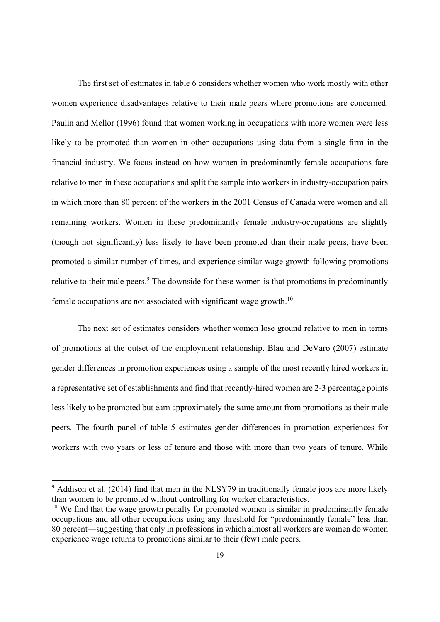The first set of estimates in table 6 considers whether women who work mostly with other women experience disadvantages relative to their male peers where promotions are concerned. Paulin and Mellor (1996) found that women working in occupations with more women were less likely to be promoted than women in other occupations using data from a single firm in the financial industry. We focus instead on how women in predominantly female occupations fare relative to men in these occupations and split the sample into workers in industry-occupation pairs in which more than 80 percent of the workers in the 2001 Census of Canada were women and all remaining workers. Women in these predominantly female industry-occupations are slightly (though not significantly) less likely to have been promoted than their male peers, have been promoted a similar number of times, and experience similar wage growth following promotions relative to their male peers.<sup>9</sup> The downside for these women is that promotions in predominantly female occupations are not associated with significant wage growth.<sup>10</sup>

 The next set of estimates considers whether women lose ground relative to men in terms of promotions at the outset of the employment relationship. Blau and DeVaro (2007) estimate gender differences in promotion experiences using a sample of the most recently hired workers in a representative set of establishments and find that recently-hired women are 2-3 percentage points less likely to be promoted but earn approximately the same amount from promotions as their male peers. The fourth panel of table 5 estimates gender differences in promotion experiences for workers with two years or less of tenure and those with more than two years of tenure. While

<sup>&</sup>lt;sup>9</sup> Addison et al. (2014) find that men in the NLSY79 in traditionally female jobs are more likely than women to be promoted without controlling for worker characteristics.

 $10$  We find that the wage growth penalty for promoted women is similar in predominantly female occupations and all other occupations using any threshold for "predominantly female" less than 80 percent—suggesting that only in professions in which almost all workers are women do women experience wage returns to promotions similar to their (few) male peers.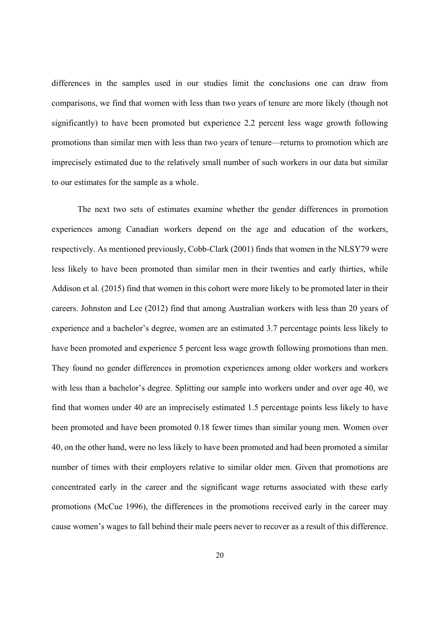differences in the samples used in our studies limit the conclusions one can draw from comparisons, we find that women with less than two years of tenure are more likely (though not significantly) to have been promoted but experience 2.2 percent less wage growth following promotions than similar men with less than two years of tenure—returns to promotion which are imprecisely estimated due to the relatively small number of such workers in our data but similar to our estimates for the sample as a whole.

 The next two sets of estimates examine whether the gender differences in promotion experiences among Canadian workers depend on the age and education of the workers, respectively. As mentioned previously, Cobb-Clark (2001) finds that women in the NLSY79 were less likely to have been promoted than similar men in their twenties and early thirties, while Addison et al. (2015) find that women in this cohort were more likely to be promoted later in their careers. Johnston and Lee (2012) find that among Australian workers with less than 20 years of experience and a bachelor's degree, women are an estimated 3.7 percentage points less likely to have been promoted and experience 5 percent less wage growth following promotions than men. They found no gender differences in promotion experiences among older workers and workers with less than a bachelor's degree. Splitting our sample into workers under and over age 40, we find that women under 40 are an imprecisely estimated 1.5 percentage points less likely to have been promoted and have been promoted 0.18 fewer times than similar young men. Women over 40, on the other hand, were no less likely to have been promoted and had been promoted a similar number of times with their employers relative to similar older men. Given that promotions are concentrated early in the career and the significant wage returns associated with these early promotions (McCue 1996), the differences in the promotions received early in the career may cause women's wages to fall behind their male peers never to recover as a result of this difference.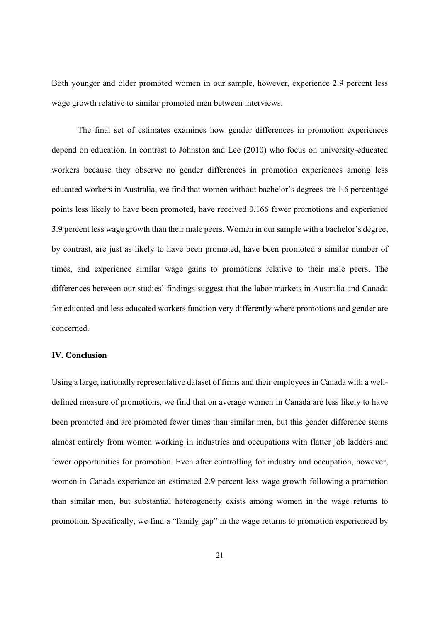Both younger and older promoted women in our sample, however, experience 2.9 percent less wage growth relative to similar promoted men between interviews.

 The final set of estimates examines how gender differences in promotion experiences depend on education. In contrast to Johnston and Lee (2010) who focus on university-educated workers because they observe no gender differences in promotion experiences among less educated workers in Australia, we find that women without bachelor's degrees are 1.6 percentage points less likely to have been promoted, have received 0.166 fewer promotions and experience 3.9 percent less wage growth than their male peers. Women in our sample with a bachelor's degree, by contrast, are just as likely to have been promoted, have been promoted a similar number of times, and experience similar wage gains to promotions relative to their male peers. The differences between our studies' findings suggest that the labor markets in Australia and Canada for educated and less educated workers function very differently where promotions and gender are concerned.

#### **IV. Conclusion**

Using a large, nationally representative dataset of firms and their employees in Canada with a welldefined measure of promotions, we find that on average women in Canada are less likely to have been promoted and are promoted fewer times than similar men, but this gender difference stems almost entirely from women working in industries and occupations with flatter job ladders and fewer opportunities for promotion. Even after controlling for industry and occupation, however, women in Canada experience an estimated 2.9 percent less wage growth following a promotion than similar men, but substantial heterogeneity exists among women in the wage returns to promotion. Specifically, we find a "family gap" in the wage returns to promotion experienced by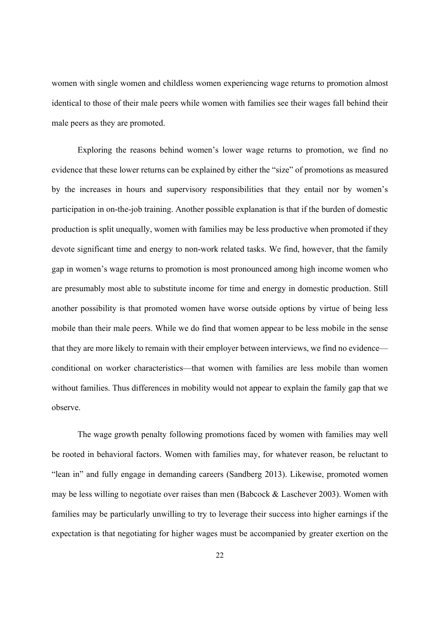women with single women and childless women experiencing wage returns to promotion almost identical to those of their male peers while women with families see their wages fall behind their male peers as they are promoted.

 Exploring the reasons behind women's lower wage returns to promotion, we find no evidence that these lower returns can be explained by either the "size" of promotions as measured by the increases in hours and supervisory responsibilities that they entail nor by women's participation in on-the-job training. Another possible explanation is that if the burden of domestic production is split unequally, women with families may be less productive when promoted if they devote significant time and energy to non-work related tasks. We find, however, that the family gap in women's wage returns to promotion is most pronounced among high income women who are presumably most able to substitute income for time and energy in domestic production. Still another possibility is that promoted women have worse outside options by virtue of being less mobile than their male peers. While we do find that women appear to be less mobile in the sense that they are more likely to remain with their employer between interviews, we find no evidence conditional on worker characteristics—that women with families are less mobile than women without families. Thus differences in mobility would not appear to explain the family gap that we observe.

 The wage growth penalty following promotions faced by women with families may well be rooted in behavioral factors. Women with families may, for whatever reason, be reluctant to "lean in" and fully engage in demanding careers (Sandberg 2013). Likewise, promoted women may be less willing to negotiate over raises than men (Babcock & Laschever 2003). Women with families may be particularly unwilling to try to leverage their success into higher earnings if the expectation is that negotiating for higher wages must be accompanied by greater exertion on the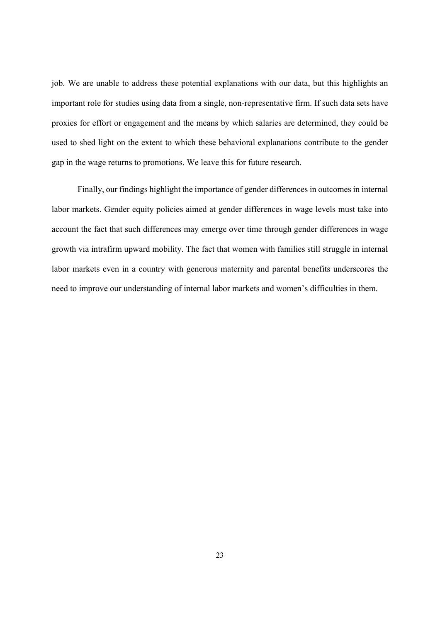job. We are unable to address these potential explanations with our data, but this highlights an important role for studies using data from a single, non-representative firm. If such data sets have proxies for effort or engagement and the means by which salaries are determined, they could be used to shed light on the extent to which these behavioral explanations contribute to the gender gap in the wage returns to promotions. We leave this for future research.

 Finally, our findings highlight the importance of gender differences in outcomes in internal labor markets. Gender equity policies aimed at gender differences in wage levels must take into account the fact that such differences may emerge over time through gender differences in wage growth via intrafirm upward mobility. The fact that women with families still struggle in internal labor markets even in a country with generous maternity and parental benefits underscores the need to improve our understanding of internal labor markets and women's difficulties in them.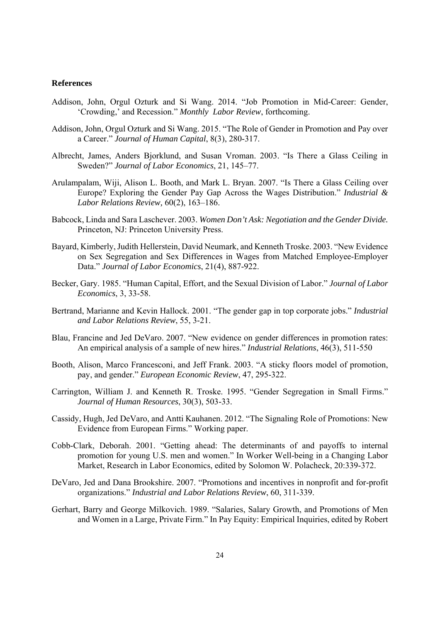#### **References**

- Addison, John, Orgul Ozturk and Si Wang. 2014. "Job Promotion in Mid-Career: Gender, 'Crowding,' and Recession." *Monthly Labor Review*, forthcoming.
- Addison, John, Orgul Ozturk and Si Wang. 2015. "The Role of Gender in Promotion and Pay over a Career." *Journal of Human Capital*, 8(3), 280-317.
- Albrecht, James, Anders Bjorklund, and Susan Vroman. 2003. "Is There a Glass Ceiling in Sweden?" *Journal of Labor Economics*, 21, 145–77.
- Arulampalam, Wiji, Alison L. Booth, and Mark L. Bryan. 2007. "Is There a Glass Ceiling over Europe? Exploring the Gender Pay Gap Across the Wages Distribution." *Industrial & Labor Relations Review,* 60(2), 163–186.
- Babcock, Linda and Sara Laschever. 2003. *Women Don't Ask: Negotiation and the Gender Divide.*  Princeton, NJ: Princeton University Press.
- Bayard, Kimberly, Judith Hellerstein, David Neumark, and Kenneth Troske. 2003. "New Evidence on Sex Segregation and Sex Differences in Wages from Matched Employee-Employer Data." *Journal of Labor Economics*, 21(4), 887-922.
- Becker, Gary. 1985. "Human Capital, Effort, and the Sexual Division of Labor." *Journal of Labor Economics*, 3, 33-58.
- Bertrand, Marianne and Kevin Hallock. 2001. "The gender gap in top corporate jobs." *Industrial and Labor Relations Review*, 55, 3-21.
- Blau, Francine and Jed DeVaro. 2007. "New evidence on gender differences in promotion rates: An empirical analysis of a sample of new hires." *Industrial Relations*, 46(3), 511-550
- Booth, Alison, Marco Francesconi, and Jeff Frank. 2003. "A sticky floors model of promotion, pay, and gender." *European Economic Review*, 47, 295-322.
- Carrington, William J. and Kenneth R. Troske. 1995. "Gender Segregation in Small Firms." *Journal of Human Resources*, 30(3), 503-33.
- Cassidy, Hugh, Jed DeVaro, and Antti Kauhanen. 2012. "The Signaling Role of Promotions: New Evidence from European Firms." Working paper.
- Cobb-Clark, Deborah. 2001. "Getting ahead: The determinants of and payoffs to internal promotion for young U.S. men and women." In Worker Well-being in a Changing Labor Market, Research in Labor Economics, edited by Solomon W. Polacheck, 20:339-372.
- DeVaro, Jed and Dana Brookshire. 2007. "Promotions and incentives in nonprofit and for-profit organizations." *Industrial and Labor Relations Review*, 60, 311-339.
- Gerhart, Barry and George Milkovich. 1989. "Salaries, Salary Growth, and Promotions of Men and Women in a Large, Private Firm." In Pay Equity: Empirical Inquiries, edited by Robert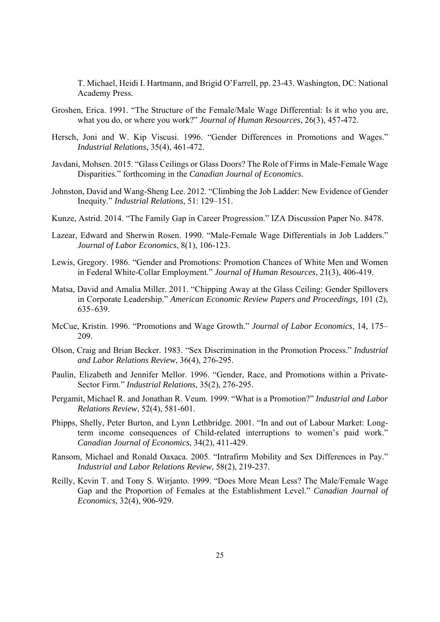T. Michael, Heidi I. Hartmann, and Brigid O'Farrell, pp. 23-43. Washington, DC: National Academy Press.

- Groshen, Erica. 1991. "The Structure of the Female/Male Wage Differential: Is it who you are, what you do, or where you work?" *Journal of Human Resources*, 26(3), 457-472.
- Hersch, Joni and W. Kip Viscusi. 1996. "Gender Differences in Promotions and Wages." *Industrial Relations*, 35(4), 461-472.
- Javdani, Mohsen. 2015. "Glass Ceilings or Glass Doors? The Role of Firms in Male-Female Wage Disparities." forthcoming in the *Canadian Journal of Economics*.
- Johnston, David and Wang-Sheng Lee. 2012. "Climbing the Job Ladder: New Evidence of Gender Inequity." *Industrial Relations*, 51: 129–151.
- Kunze, Astrid. 2014. "The Family Gap in Career Progression." IZA Discussion Paper No. 8478.
- Lazear, Edward and Sherwin Rosen. 1990. "Male-Female Wage Differentials in Job Ladders." *Journal of Labor Economics*, 8(1), 106-123.
- Lewis, Gregory. 1986. "Gender and Promotions: Promotion Chances of White Men and Women in Federal White-Collar Employment." *Journal of Human Resources*, 21(3), 406-419.
- Matsa, David and Amalia Miller. 2011. "Chipping Away at the Glass Ceiling: Gender Spillovers in Corporate Leadership." *American Economic Review Papers and Proceedings,* 101 (2), 635–639.
- McCue, Kristin. 1996. "Promotions and Wage Growth." *Journal of Labor Economics*, 14, 175– 209.
- Olson, Craig and Brian Becker. 1983. "Sex Discrimination in the Promotion Process." *Industrial and Labor Relations Review*, 36(4), 276-295.
- Paulin, Elizabeth and Jennifer Mellor. 1996. "Gender, Race, and Promotions within a Private-Sector Firm." *Industrial Relations*, 35(2), 276-295.
- Pergamit, Michael R. and Jonathan R. Veum. 1999. "What is a Promotion?" *Industrial and Labor Relations Review*, 52(4), 581-601.
- Phipps, Shelly, Peter Burton, and Lynn Lethbridge. 2001. "In and out of Labour Market: Longterm income consequences of Child-related interruptions to women's paid work." *Canadian Journal of Economics*, 34(2), 411-429.
- Ransom, Michael and Ronald Oaxaca. 2005. "Intrafirm Mobility and Sex Differences in Pay." *Industrial and Labor Relations Review*, 58(2), 219-237.
- Reilly, Kevin T. and Tony S. Wirjanto. 1999. "Does More Mean Less? The Male/Female Wage Gap and the Proportion of Females at the Establishment Level." *Canadian Journal of Economics*, 32(4), 906-929.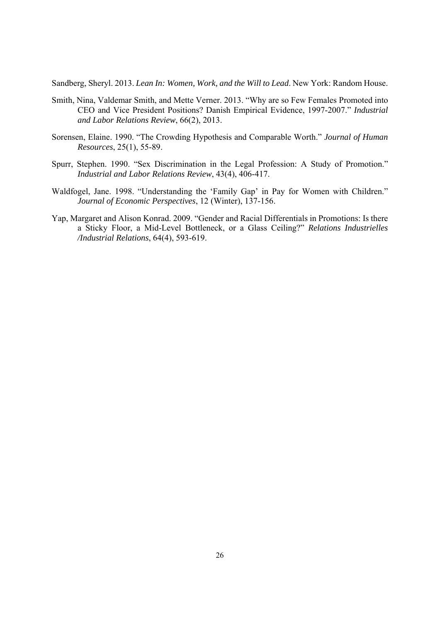Sandberg, Sheryl. 2013. *Lean In: Women, Work, and the Will to Lead*. New York: Random House.

- Smith, Nina, Valdemar Smith, and Mette Verner. 2013. "Why are so Few Females Promoted into CEO and Vice President Positions? Danish Empirical Evidence, 1997-2007." *Industrial and Labor Relations Review*, 66(2), 2013.
- Sorensen, Elaine. 1990. "The Crowding Hypothesis and Comparable Worth." *Journal of Human Resources*, 25(1), 55-89.
- Spurr, Stephen. 1990. "Sex Discrimination in the Legal Profession: A Study of Promotion." *Industrial and Labor Relations Review*, 43(4), 406-417.
- Waldfogel, Jane. 1998. "Understanding the 'Family Gap' in Pay for Women with Children." *Journal of Economic Perspectives*, 12 (Winter), 137-156.
- Yap, Margaret and Alison Konrad. 2009. "Gender and Racial Differentials in Promotions: Is there a Sticky Floor, a Mid-Level Bottleneck, or a Glass Ceiling?" *Relations Industrielles /Industrial Relations*, 64(4), 593-619.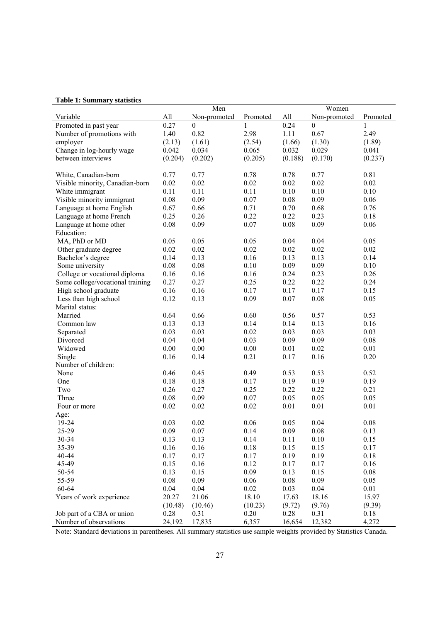#### **Table 1: Summary statistics**

|                                  |              | Men              |              | Women   |                  |          |  |
|----------------------------------|--------------|------------------|--------------|---------|------------------|----------|--|
| Variable                         | All          | Non-promoted     | Promoted     | All     | Non-promoted     | Promoted |  |
| Promoted in past year            | 0.27         | $\boldsymbol{0}$ | 1            | 0.24    | $\boldsymbol{0}$ | 1        |  |
| Number of promotions with        | 1.40         | 0.82             | 2.98         | 1.11    | 0.67             | 2.49     |  |
| employer                         | (2.13)       | (1.61)           | (2.54)       | (1.66)  | (1.30)           | (1.89)   |  |
| Change in log-hourly wage        | 0.042        | 0.034            | 0.065        | 0.032   | 0.029            | 0.041    |  |
| between interviews               | (0.204)      | (0.202)          | (0.205)      | (0.188) | (0.170)          | (0.237)  |  |
|                                  |              |                  |              |         |                  |          |  |
|                                  | 0.77         | 0.77             |              | 0.78    | 0.77             | 0.81     |  |
| White, Canadian-born             |              | 0.02             | 0.78<br>0.02 | 0.02    | 0.02             | 0.02     |  |
| Visible minority, Canadian-born  | 0.02<br>0.11 |                  |              |         |                  |          |  |
| White immigrant                  |              | 0.11             | 0.11         | 0.10    | 0.10             | 0.10     |  |
| Visible minority immigrant       | 0.08         | 0.09             | 0.07         | 0.08    | 0.09             | 0.06     |  |
| Language at home English         | 0.67         | 0.66             | 0.71         | 0.70    | 0.68             | 0.76     |  |
| Language at home French          | 0.25         | 0.26             | 0.22         | 0.22    | 0.23             | 0.18     |  |
| Language at home other           | 0.08         | 0.09             | 0.07         | 0.08    | 0.09             | 0.06     |  |
| Education:                       |              |                  |              |         |                  |          |  |
| MA, PhD or MD                    | 0.05         | 0.05             | 0.05         | 0.04    | 0.04             | 0.05     |  |
| Other graduate degree            | 0.02         | 0.02             | 0.02         | 0.02    | 0.02             | 0.02     |  |
| Bachelor's degree                | 0.14         | 0.13             | 0.16         | 0.13    | 0.13             | 0.14     |  |
| Some university                  | 0.08         | 0.08             | 0.10         | 0.09    | 0.09             | 0.10     |  |
| College or vocational diploma    | 0.16         | 0.16             | 0.16         | 0.24    | 0.23             | 0.26     |  |
| Some college/vocational training | 0.27         | 0.27             | 0.25         | 0.22    | 0.22             | 0.24     |  |
| High school graduate             | 0.16         | 0.16             | 0.17         | 0.17    | 0.17             | 0.15     |  |
| Less than high school            | 0.12         | 0.13             | 0.09         | 0.07    | 0.08             | 0.05     |  |
| Marital status:                  |              |                  |              |         |                  |          |  |
| Married                          | 0.64         | 0.66             | 0.60         | 0.56    | 0.57             | 0.53     |  |
| Common law                       | 0.13         | 0.13             | 0.14         | 0.14    | 0.13             | 0.16     |  |
| Separated                        | 0.03         | 0.03             | 0.02         | 0.03    | 0.03             | 0.03     |  |
| Divorced                         | 0.04         | 0.04             | 0.03         | 0.09    | 0.09             | 0.08     |  |
| Widowed                          | 0.00         | 0.00             | 0.00         | 0.01    | 0.02             | 0.01     |  |
| Single                           | 0.16         | 0.14             | 0.21         | 0.17    | 0.16             | 0.20     |  |
| Number of children:              |              |                  |              |         |                  |          |  |
| None                             | 0.46         | 0.45             | 0.49         | 0.53    | 0.53             | 0.52     |  |
| One                              | 0.18         | 0.18             | 0.17         | 0.19    | 0.19             | 0.19     |  |
| Two                              | 0.26         | 0.27             | 0.25         | 0.22    | 0.22             | 0.21     |  |
| Three                            | 0.08         | 0.09             | 0.07         | 0.05    | 0.05             | 0.05     |  |
| Four or more                     | 0.02         | 0.02             | 0.02         | 0.01    | 0.01             | 0.01     |  |
| Age:                             |              |                  |              |         |                  |          |  |
| 19-24                            | 0.03         | 0.02             | 0.06         | 0.05    | 0.04             | 0.08     |  |
| 25-29                            | 0.09         | 0.07             | 0.14         | 0.09    | 0.08             | 0.13     |  |
|                                  | 0.13         | 0.13             |              | 0.11    | 0.10             |          |  |
| 30-34                            |              |                  | 0.14         |         |                  | 0.15     |  |
| 35-39                            | 0.16         | 0.16             | 0.18         | 0.15    | 0.15             | 0.17     |  |
| 40-44                            | 0.17         | 0.17             | 0.17         | 0.19    | 0.19             | 0.18     |  |
| 45-49                            | 0.15         | 0.16             | 0.12         | 0.17    | 0.17             | 0.16     |  |
| 50-54                            | 0.13         | 0.15             | 0.09         | 0.13    | 0.15             | 0.08     |  |
| 55-59                            | 0.08         | 0.09             | 0.06         | 0.08    | 0.09             | 0.05     |  |
| 60-64                            | 0.04         | 0.04             | $0.02\,$     | 0.03    | 0.04             | 0.01     |  |
| Years of work experience         | 20.27        | 21.06            | 18.10        | 17.63   | 18.16            | 15.97    |  |
|                                  | (10.48)      | (10.46)          | (10.23)      | (9.72)  | (9.76)           | (9.39)   |  |
| Job part of a CBA or union       | 0.28         | 0.31             | 0.20         | 0.28    | 0.31             | 0.18     |  |
| Number of observations           | 24,192       | 17,835           | 6,357        | 16,654  | 12,382           | 4,272    |  |

Note: Standard deviations in parentheses. All summary statistics use sample weights provided by Statistics Canada.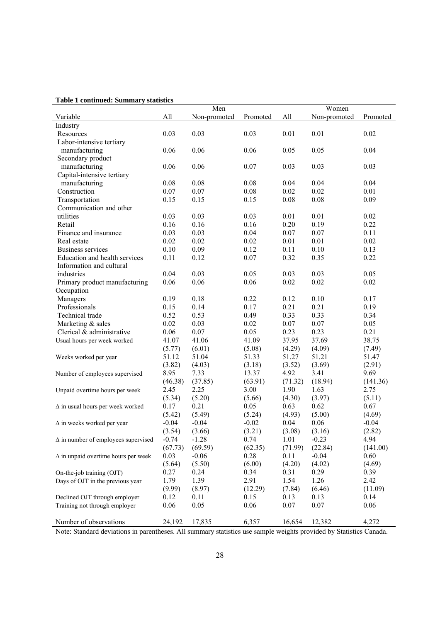#### **Table 1 continued: Summary statistics**

|                                            | Men     |              |          | Women   |              |          |  |
|--------------------------------------------|---------|--------------|----------|---------|--------------|----------|--|
| Variable                                   | All     | Non-promoted | Promoted | All     | Non-promoted | Promoted |  |
| Industry                                   |         |              |          |         |              |          |  |
| Resources                                  | 0.03    | 0.03         | 0.03     | 0.01    | 0.01         | 0.02     |  |
| Labor-intensive tertiary                   |         |              |          |         |              |          |  |
| manufacturing                              | 0.06    | 0.06         | 0.06     | 0.05    | 0.05         | 0.04     |  |
| Secondary product                          |         |              |          |         |              |          |  |
| manufacturing                              | 0.06    | 0.06         | 0.07     | 0.03    | 0.03         | 0.03     |  |
| Capital-intensive tertiary                 |         |              |          |         |              |          |  |
| manufacturing                              | 0.08    | 0.08         | 0.08     | 0.04    | 0.04         | 0.04     |  |
| Construction                               | 0.07    | 0.07         | 0.08     | 0.02    | 0.02         | 0.01     |  |
| Transportation                             | 0.15    | 0.15         | 0.15     | 0.08    | 0.08         | 0.09     |  |
| Communication and other                    |         |              |          |         |              |          |  |
| utilities                                  | 0.03    | 0.03         | 0.03     | 0.01    | 0.01         | 0.02     |  |
| Retail                                     | 0.16    | 0.16         | 0.16     | 0.20    | 0.19         | 0.22     |  |
| Finance and insurance                      | 0.03    | 0.03         | 0.04     | 0.07    | 0.07         | 0.11     |  |
| Real estate                                | 0.02    | 0.02         | 0.02     | 0.01    | 0.01         | $0.02\,$ |  |
| Business services                          | 0.10    | 0.09         | 0.12     | 0.11    | 0.10         | 0.13     |  |
| Education and health services              | 0.11    | 0.12         | 0.07     | 0.32    | 0.35         | 0.22     |  |
| Information and cultural                   |         |              |          |         |              |          |  |
| industries                                 | 0.04    | 0.03         | 0.05     | 0.03    | 0.03         | 0.05     |  |
| Primary product manufacturing              | 0.06    | 0.06         | 0.06     | 0.02    | 0.02         | 0.02     |  |
| Occupation                                 |         |              |          |         |              |          |  |
| Managers                                   | 0.19    | 0.18         | 0.22     | 0.12    | 0.10         | 0.17     |  |
| Professionals                              | 0.15    | 0.14         | 0.17     | 0.21    | 0.21         | 0.19     |  |
| Technical trade                            | 0.52    | 0.53         | 0.49     | 0.33    | 0.33         | 0.34     |  |
| Marketing & sales                          | 0.02    | 0.03         | 0.02     | 0.07    | 0.07         | 0.05     |  |
| Clerical & administrative                  | 0.06    | 0.07         | 0.05     | 0.23    | 0.23         | 0.21     |  |
| Usual hours per week worked                | 41.07   | 41.06        | 41.09    | 37.95   | 37.69        | 38.75    |  |
|                                            | (5.77)  | (6.01)       | (5.08)   | (4.29)  | (4.09)       | (7.49)   |  |
| Weeks worked per year                      | 51.12   | 51.04        | 51.33    | 51.27   | 51.21        | 51.47    |  |
|                                            | (3.82)  | (4.03)       | (3.18)   | (3.52)  | (3.69)       | (2.91)   |  |
| Number of employees supervised             | 8.95    | 7.33         | 13.37    | 4.92    | 3.41         | 9.69     |  |
|                                            | (46.38) | (37.85)      | (63.91)  | (71.32) | (18.94)      | (141.36) |  |
| Unpaid overtime hours per week             | 2.45    | 2.25         | 3.00     | 1.90    | 1.63         | 2.75     |  |
|                                            | (5.34)  | (5.20)       | (5.66)   | (4.30)  | (3.97)       | (5.11)   |  |
| $\Delta$ in usual hours per week worked    | 0.17    | 0.21         | 0.05     | 0.63    | 0.62         | 0.67     |  |
|                                            | (5.42)  | (5.49)       | (5.24)   | (4.93)  | (5.00)       | (4.69)   |  |
| $\Delta$ in weeks worked per year          | $-0.04$ | $-0.04$      | $-0.02$  | 0.04    | 0.06         | $-0.04$  |  |
|                                            | (3.54)  | (3.66)       | (3.21)   | (3.08)  | (3.16)       | (2.82)   |  |
| $\Delta$ in number of employees supervised | $-0.74$ | $-1.28$      | 0.74     | 1.01    | $-0.23$      | 4.94     |  |
|                                            | (67.73) | (69.59)      | (62.35)  | (71.99) | (22.84)      | (141.00) |  |
| $\Delta$ in unpaid overtime hours per week | 0.03    | $-0.06$      | 0.28     | 0.11    | $-0.04$      | 0.60     |  |
|                                            | (5.64)  | (5.50)       | (6.00)   | (4.20)  | (4.02)       | (4.69)   |  |
| On-the-job training (OJT)                  | 0.27    | 0.24         | 0.34     | 0.31    | 0.29         | 0.39     |  |
| Days of OJT in the previous year           | 1.79    | 1.39         | 2.91     | 1.54    | 1.26         | 2.42     |  |
|                                            | (9.99)  | (8.97)       | (12.29)  | (7.84)  | (6.46)       | (11.09)  |  |
| Declined OJT through employer              | 0.12    | 0.11         | 0.15     | 0.13    | 0.13         | 0.14     |  |
| Training not through employer              | 0.06    | 0.05         | 0.06     | 0.07    | 0.07         | 0.06     |  |
|                                            |         |              |          |         |              |          |  |
| Number of observations                     | 24,192  | 17,835       | 6,357    | 16,654  | 12,382       | 4,272    |  |

Note: Standard deviations in parentheses. All summary statistics use sample weights provided by Statistics Canada.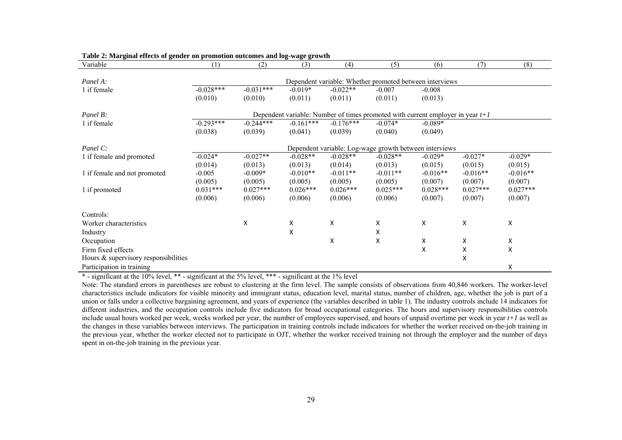| Variable                               | (1)                                                                              | (2)         | (3)         | (4)         | (5)                                                     | (6)        | (7)        | (8)        |  |  |
|----------------------------------------|----------------------------------------------------------------------------------|-------------|-------------|-------------|---------------------------------------------------------|------------|------------|------------|--|--|
|                                        |                                                                                  |             |             |             |                                                         |            |            |            |  |  |
| Panel A:                               |                                                                                  |             |             |             | Dependent variable: Whether promoted between interviews |            |            |            |  |  |
| 1 if female                            | $-0.028***$                                                                      | $-0.031***$ | $-0.019*$   | $-0.022**$  | $-0.007$                                                | $-0.008$   |            |            |  |  |
|                                        | (0.010)                                                                          | (0.010)     | (0.011)     | (0.011)     | (0.011)                                                 | (0.013)    |            |            |  |  |
| Panel B:                               | Dependent variable: Number of times promoted with current employer in year $t+1$ |             |             |             |                                                         |            |            |            |  |  |
| 1 if female                            | $-0.293***$                                                                      | $-0.244***$ | $-0.161***$ | $-0.176***$ | $-0.074*$                                               | $-0.089*$  |            |            |  |  |
|                                        | (0.038)                                                                          | (0.039)     | (0.041)     | (0.039)     | (0.040)                                                 | (0.049)    |            |            |  |  |
|                                        |                                                                                  |             |             |             |                                                         |            |            |            |  |  |
| Panel C:                               |                                                                                  |             |             |             | Dependent variable: Log-wage growth between interviews  |            |            |            |  |  |
| 1 if female and promoted               | $-0.024*$                                                                        | $-0.027**$  | $-0.028**$  | $-0.028**$  | $-0.028**$                                              | $-0.029*$  | $-0.027*$  | $-0.029*$  |  |  |
|                                        | (0.014)                                                                          | (0.013)     | (0.013)     | (0.014)     | (0.013)                                                 | (0.015)    | (0.015)    | (0.015)    |  |  |
| 1 if female and not promoted           | $-0.005$                                                                         | $-0.009*$   | $-0.010**$  | $-0.011**$  | $-0.011**$                                              | $-0.016**$ | $-0.016**$ | $-0.016**$ |  |  |
|                                        | (0.005)                                                                          | (0.005)     | (0.005)     | (0.005)     | (0.005)                                                 | (0.007)    | (0.007)    | (0.007)    |  |  |
| 1 if promoted                          | $0.031***$                                                                       | $0.027***$  | $0.026***$  | $0.026***$  | $0.025***$                                              | $0.028***$ | $0.027***$ | $0.027***$ |  |  |
|                                        | (0.006)                                                                          | (0.006)     | (0.006)     | (0.006)     | (0.006)                                                 | (0.007)    | (0.007)    | (0.007)    |  |  |
| Controls:                              |                                                                                  |             |             |             |                                                         |            |            |            |  |  |
| Worker characteristics                 |                                                                                  | X           | Χ           | Χ           | X                                                       | Χ          | X          | Χ          |  |  |
| Industry                               |                                                                                  |             | Χ           |             | x                                                       |            |            |            |  |  |
|                                        |                                                                                  |             |             | Χ           | Χ                                                       | Χ          | X          | Χ          |  |  |
| Occupation                             |                                                                                  |             |             |             |                                                         | X          |            |            |  |  |
| Firm fixed effects                     |                                                                                  |             |             |             |                                                         |            | X          | Χ          |  |  |
| Hours $&$ supervisory responsibilities |                                                                                  |             |             |             |                                                         |            | X          |            |  |  |
| Participation in training              |                                                                                  |             |             |             |                                                         |            |            | Χ          |  |  |

**Table 2: Marginal effects of gender on promotion outcomes and log-wage growth** 

\* - significant at the 10% level, \*\* - significant at the 5% level, \*\*\* - significant at the 1% level

Note: The standard errors in parentheses are robust to clustering at the firm level. The sample consists of observations from 40,846 workers. The worker-level characteristics include indicators for visible minority and immigrant status, education level, marital status, number of children, age, whether the job is part of a union or falls under a collective bargaining agreement, and years of experience (the variables described in table 1). The industry controls include 14 indicators for different industries, and the occupation controls include five indicators for broad occupational categories. The hours and supervisory responsibilities controls include usual hours worked per week, weeks worked per year, the number of employees supervised, and hours of unpaid overtime per week in year *t+1* as well as the changes in these variables between interviews. The participation in training controls include indicators for whether the worker received on-the-job training in the previous year, whether the worker elected not to participate in OJT, whether the worker received training not through the employer and the number of days spent in on-the-job training in the previous year.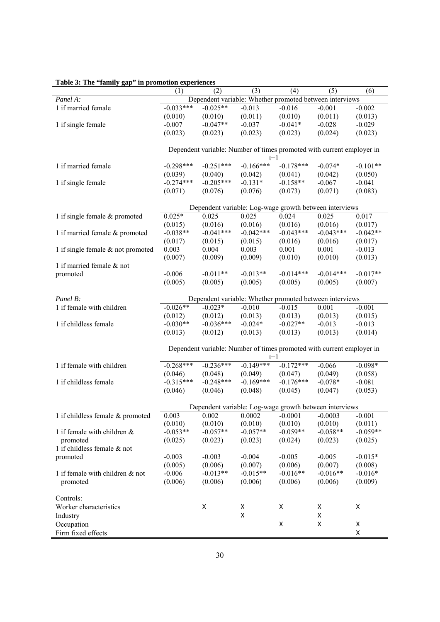|                                      | (1)         | (2)         | (3)                                                                   | (4)         | (5)                | (6)                |
|--------------------------------------|-------------|-------------|-----------------------------------------------------------------------|-------------|--------------------|--------------------|
| Panel A:                             |             |             | Dependent variable: Whether promoted between interviews               |             |                    |                    |
| 1 if married female                  | $-0.033***$ | $-0.025**$  | $-0.013$                                                              | $-0.016$    | $-0.001$           | $-0.002$           |
|                                      | (0.010)     | (0.010)     | (0.011)                                                               | (0.010)     | (0.011)            | (0.013)            |
| 1 if single female                   | $-0.007$    | $-0.047**$  | $-0.037$                                                              | $-0.041*$   | $-0.028$           | $-0.029$           |
|                                      | (0.023)     | (0.023)     | (0.023)                                                               | (0.023)     | (0.024)            | (0.023)            |
|                                      |             |             |                                                                       |             |                    |                    |
|                                      |             |             | Dependent variable: Number of times promoted with current employer in |             |                    |                    |
|                                      |             |             | $t+1$                                                                 |             |                    |                    |
| 1 if married female                  | $-0.298***$ | $-0.251***$ | $-0.166***$                                                           | $-0.178***$ | $-0.074*$          | $-0.101**$         |
|                                      | (0.039)     | (0.040)     | (0.042)                                                               | (0.041)     | (0.042)            | (0.050)            |
| 1 if single female                   | $-0.274***$ | $-0.205***$ | $-0.131*$                                                             | $-0.158**$  | $-0.067$           | $-0.041$           |
|                                      | (0.071)     | (0.076)     | (0.076)                                                               | (0.073)     | (0.071)            | (0.083)            |
|                                      |             |             |                                                                       |             |                    |                    |
|                                      |             |             | Dependent variable: Log-wage growth between interviews                |             |                    |                    |
|                                      | $0.025*$    | 0.025       | 0.025                                                                 | 0.024       | 0.025              | 0.017              |
| 1 if single female $&$ promoted      |             |             |                                                                       |             |                    |                    |
|                                      | (0.015)     | (0.016)     | (0.016)<br>$-0.042***$                                                | (0.016)     | (0.016)            | (0.017)            |
| 1 if married female & promoted       | $-0.038**$  | $-0.041***$ |                                                                       | $-0.043***$ | $-0.043***$        | $-0.042**$         |
|                                      | (0.017)     | (0.015)     | (0.015)                                                               | (0.016)     | (0.016)            | (0.017)            |
| 1 if single female $\&$ not promoted | 0.003       | 0.004       | 0.003                                                                 | 0.001       | 0.001              | $-0.013$           |
|                                      | (0.007)     | (0.009)     | (0.009)                                                               | (0.010)     | (0.010)            | (0.013)            |
| 1 if married female & not            |             |             |                                                                       |             |                    |                    |
| promoted                             | $-0.006$    | $-0.011**$  | $-0.013**$                                                            | $-0.014***$ | $-0.014***$        | $-0.017**$         |
|                                      | (0.005)     | (0.005)     | (0.005)                                                               | (0.005)     | (0.005)            | (0.007)            |
|                                      |             |             |                                                                       |             |                    |                    |
| Panel B:                             |             |             | Dependent variable: Whether promoted between interviews               |             |                    |                    |
| 1 if female with children            | $-0.026**$  | $-0.023*$   | $-0.010$                                                              | $-0.015$    | 0.001              | $-0.001$           |
|                                      | (0.012)     | (0.012)     | (0.013)                                                               | (0.013)     | (0.013)            | (0.015)            |
| 1 if childless female                | $-0.030**$  | $-0.036***$ | $-0.024*$                                                             | $-0.027**$  | $-0.013$           | $-0.013$           |
|                                      | (0.013)     | (0.012)     | (0.013)                                                               | (0.013)     | (0.013)            | (0.014)            |
|                                      |             |             |                                                                       |             |                    |                    |
|                                      |             |             | Dependent variable: Number of times promoted with current employer in |             |                    |                    |
|                                      |             |             | $t+1$                                                                 |             |                    |                    |
| 1 if female with children            | $-0.268***$ | $-0.236***$ | $-0.149***$                                                           | $-0.172***$ | $-0.066$           | $-0.098*$          |
|                                      | (0.046)     | (0.048)     | (0.049)                                                               | (0.047)     | (0.049)            | (0.058)            |
| 1 if childless female                | $-0.315***$ | $-0.248***$ | $-0.169***$                                                           | $-0.176***$ | $-0.078*$          | $-0.081$           |
|                                      | (0.046)     | (0.046)     | (0.048)                                                               | (0.045)     | (0.047)            | (0.053)            |
|                                      |             |             |                                                                       |             |                    |                    |
|                                      |             |             | Dependent variable: Log-wage growth between interviews                |             |                    |                    |
| 1 if childless female & promoted     | 0.003       | 0.002       | 0.0002                                                                | $-0.0001$   | $-0.0003$          | $-0.001$           |
|                                      | (0.010)     | (0.010)     | (0.010)                                                               | (0.010)     | (0.010)            | (0.011)            |
| 1 if female with children $&$        | $-0.053**$  | $-0.057**$  | $-0.057**$                                                            | $-0.059**$  | $-0.058**$         | $-0.059**$         |
| promoted                             | (0.025)     | (0.023)     | (0.023)                                                               | (0.024)     | (0.023)            | (0.025)            |
| 1 if childless female & not          |             |             |                                                                       |             |                    |                    |
| promoted                             | $-0.003$    | $-0.003$    | $-0.004$                                                              | $-0.005$    | $-0.005$           | $-0.015*$          |
|                                      | (0.005)     | (0.006)     | (0.007)                                                               | (0.006)     | (0.007)            | (0.008)            |
| 1 if female with children & not      | $-0.006$    | $-0.013**$  | $-0.015**$                                                            | $-0.016**$  | $-0.016**$         | $-0.016*$          |
| promoted                             | (0.006)     | (0.006)     | (0.006)                                                               | (0.006)     | (0.006)            | (0.009)            |
|                                      |             |             |                                                                       |             |                    |                    |
|                                      |             |             |                                                                       |             |                    |                    |
| Controls:                            |             |             |                                                                       |             |                    |                    |
| Worker characteristics               |             | X           | Χ                                                                     | X           | X                  | X                  |
| Industry                             |             |             | X                                                                     |             | $\pmb{\mathsf{X}}$ |                    |
| Occupation                           |             |             |                                                                       | Χ           | X                  | $\pmb{\mathsf{X}}$ |
| Firm fixed effects                   |             |             |                                                                       |             |                    | Χ                  |

**Table 3: The "family gap" in promotion experiences**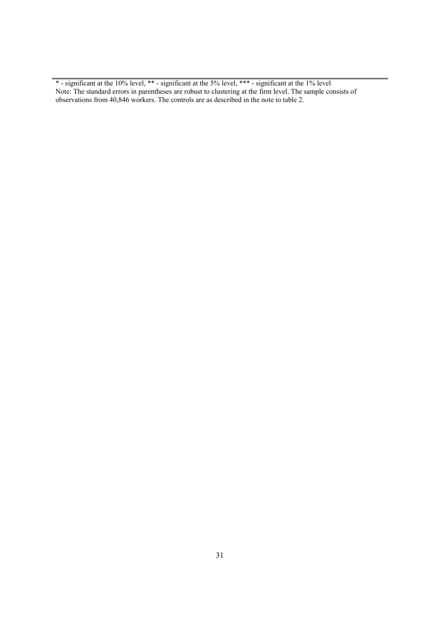\* - significant at the 10% level, \*\* - significant at the 5% level, \*\*\* - significant at the 1% level Note: The standard errors in parentheses are robust to clustering at the firm level. The sample consists of observations from 40,846 workers. The controls are as described in the note to table 2.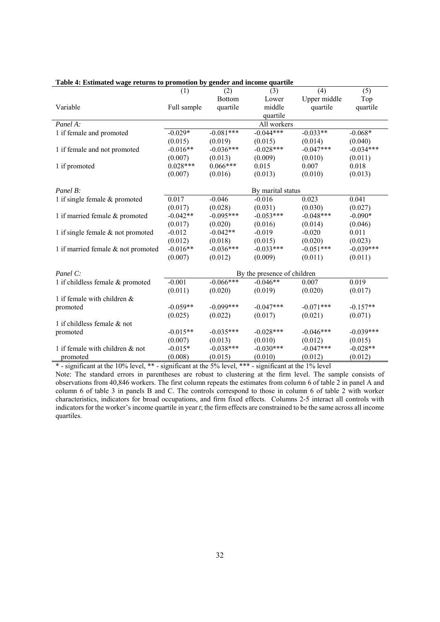|                                    | (1)         | (2)           | (3)                         | (4)          | (5)         |
|------------------------------------|-------------|---------------|-----------------------------|--------------|-------------|
|                                    |             | <b>Bottom</b> | Lower                       | Upper middle | Top         |
| Variable                           | Full sample | quartile      | middle                      | quartile     | quartile    |
|                                    |             |               | quartile                    |              |             |
| Panel A:                           |             |               | All workers                 |              |             |
| 1 if female and promoted           | $-0.029*$   | $-0.081***$   | $-0.044***$                 | $-0.033**$   | $-0.068*$   |
|                                    | (0.015)     | (0.019)       | (0.015)                     | (0.014)      | (0.040)     |
| 1 if female and not promoted       | $-0.016**$  | $-0.036***$   | $-0.028***$                 | $-0.047***$  | $-0.034***$ |
|                                    | (0.007)     | (0.013)       | (0.009)                     | (0.010)      | (0.011)     |
| 1 if promoted                      | $0.028***$  | $0.066***$    | 0.015                       | 0.007        | 0.018       |
|                                    | (0.007)     | (0.016)       | (0.013)                     | (0.010)      | (0.013)     |
|                                    |             |               |                             |              |             |
| Panel B:                           |             |               | By marital status           |              |             |
| 1 if single female $&$ promoted    | 0.017       | $-0.046$      | $-0.016$                    | 0.023        | 0.041       |
|                                    | (0.017)     | (0.028)       | (0.031)                     | (0.030)      | (0.027)     |
| 1 if married female & promoted     | $-0.042**$  | $-0.095***$   | $-0.053***$                 | $-0.048***$  | $-0.090*$   |
|                                    | (0.017)     | (0.020)       | (0.016)                     | (0.014)      | (0.046)     |
| 1 if single female & not promoted  | $-0.012$    | $-0.042**$    | $-0.019$                    | $-0.020$     | 0.011       |
|                                    | (0.012)     | (0.018)       | (0.015)                     | (0.020)      | (0.023)     |
| 1 if married female & not promoted | $-0.016**$  | $-0.036***$   | $-0.033***$                 | $-0.051***$  | $-0.039***$ |
|                                    | (0.007)     | (0.012)       | (0.009)                     | (0.011)      | (0.011)     |
|                                    |             |               |                             |              |             |
| Panel C:                           |             |               | By the presence of children |              |             |
| 1 if childless female & promoted   | $-0.001$    | $-0.066***$   | $-0.046**$                  | 0.007        | 0.019       |
|                                    | (0.011)     | (0.020)       | (0.019)                     | (0.020)      | (0.017)     |
| 1 if female with children $\&$     |             |               |                             |              |             |
| promoted                           | $-0.059**$  | $-0.099***$   | $-0.047***$                 | $-0.071***$  | $-0.157**$  |
|                                    | (0.025)     | (0.022)       | (0.017)                     | (0.021)      | (0.071)     |
| 1 if childless female $\&$ not     |             |               |                             |              |             |
| promoted                           | $-0.015**$  | $-0.035***$   | $-0.028***$                 | $-0.046***$  | $-0.039***$ |
|                                    | (0.007)     | (0.013)       | (0.010)                     | (0.012)      | (0.015)     |
| 1 if female with children & not    | $-0.015*$   | $-0.038***$   | $-0.030***$                 | $-0.047***$  | $-0.028**$  |
| promoted                           | (0.008)     | (0.015)       | (0.010)                     | (0.012)      | (0.012)     |

#### **Table 4: Estimated wage returns to promotion by gender and income quartile**

\* - significant at the 10% level, \*\* - significant at the 5% level, \*\*\* - significant at the 1% level

Note: The standard errors in parentheses are robust to clustering at the firm level. The sample consists of observations from 40,846 workers. The first column repeats the estimates from column 6 of table 2 in panel A and column 6 of table 3 in panels B and C. The controls correspond to those in column 6 of table 2 with worker characteristics, indicators for broad occupations, and firm fixed effects. Columns 2-5 interact all controls with indicators for the worker's income quartile in year *t*; the firm effects are constrained to be the same across all income quartiles.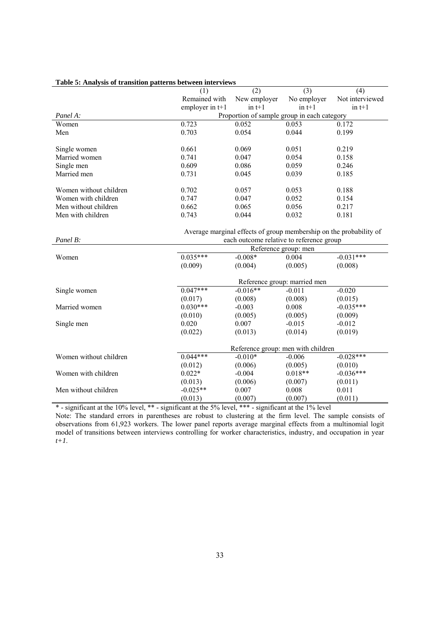|                        | (1)               | (2)                                         | (3)                          | (4)                                                                |
|------------------------|-------------------|---------------------------------------------|------------------------------|--------------------------------------------------------------------|
|                        | Remained with     | New employer                                | No employer                  | Not interviewed                                                    |
|                        | employer in $t+1$ | $in t+1$                                    | in $t+1$                     | in $t+1$                                                           |
| Panel A:               |                   | Proportion of sample group in each category |                              |                                                                    |
| Women                  | 0.723             | 0.052                                       | 0.053                        | 0.172                                                              |
| Men                    | 0.703             | 0.054                                       | 0.044                        | 0.199                                                              |
|                        |                   |                                             |                              |                                                                    |
| Single women           | 0.661             | 0.069                                       | 0.051                        | 0.219                                                              |
| Married women          | 0.741             | 0.047                                       | 0.054                        | 0.158                                                              |
| Single men             | 0.609             | 0.086                                       | 0.059                        | 0.246                                                              |
| Married men            | 0.731             | 0.045                                       | 0.039                        | 0.185                                                              |
|                        |                   |                                             |                              |                                                                    |
| Women without children | 0.702             | 0.057                                       | 0.053                        | 0.188                                                              |
| Women with children    | 0.747             | 0.047                                       | 0.052                        | 0.154                                                              |
| Men without children   | 0.662             | 0.065                                       | 0.056                        | 0.217                                                              |
| Men with children      | 0.743             | 0.044                                       | 0.032                        | 0.181                                                              |
|                        |                   |                                             |                              |                                                                    |
|                        |                   |                                             |                              | Average marginal effects of group membership on the probability of |
| Panel B:               |                   | each outcome relative to reference group    |                              |                                                                    |
|                        |                   |                                             | Reference group: men         |                                                                    |
| Women                  | $0.035***$        | $-0.008*$                                   | 0.004                        | $-0.031***$                                                        |
|                        | (0.009)           | (0.004)                                     | (0.005)                      | (0.008)                                                            |
|                        |                   |                                             |                              |                                                                    |
|                        |                   |                                             | Reference group: married men |                                                                    |
| Single women           | $0.047***$        | $-0.016**$                                  | $-0.011$                     | $-0.020$                                                           |
|                        | (0.017)           | (0.008)                                     | (0.008)                      | (0.015)                                                            |
| Married women          | $0.030***$        | $-0.003$                                    | 0.008                        | $-0.035***$                                                        |
|                        | (0.010)           | (0.005)                                     | (0.005)                      | (0.009)                                                            |
| Single men             | 0.020             | 0.007                                       | $-0.015$                     | $-0.012$                                                           |
|                        | (0.022)           | (0.013)                                     | (0.014)                      | (0.019)                                                            |
|                        |                   |                                             |                              |                                                                    |
|                        |                   | Reference group: men with children          |                              |                                                                    |
| Women without children | $0.044***$        | $-0.010*$                                   | $-0.006$                     | $-0.028***$                                                        |
|                        | (0.012)           | (0.006)                                     | (0.005)                      | (0.010)                                                            |
| Women with children    | $0.022*$          | $-0.004$                                    | $0.018**$                    | $-0.036***$                                                        |
|                        | (0.013)           | (0.006)                                     | (0.007)                      | (0.011)                                                            |
| Men without children   | $-0.025**$        | 0.007                                       | 0.008                        | 0.011                                                              |
|                        | (0.013)           | (0.007)                                     | (0.007)                      | (0.011)                                                            |

#### **Table 5: Analysis of transition patterns between interviews**

\* - significant at the 10% level, \*\* - significant at the 5% level, \*\*\* - significant at the 1% level Note: The standard errors in parentheses are robust to clustering at the firm level. The sample consists of observations from 61,923 workers. The lower panel reports average marginal effects from a multinomial logit model of transitions between interviews controlling for worker characteristics, industry, and occupation in year *t+1*.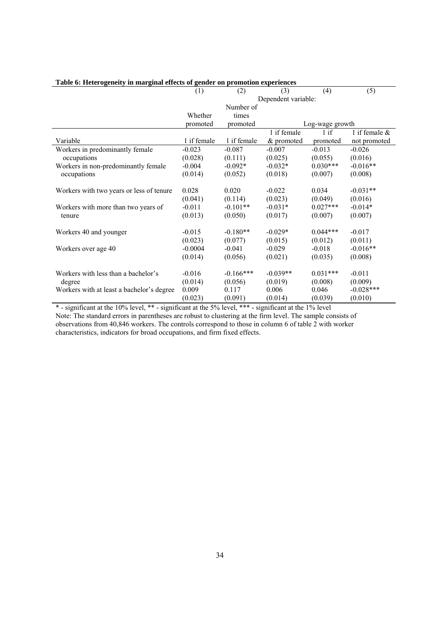|                                           | (1)         | (2)         | (3)                 | (4)             | (5)              |
|-------------------------------------------|-------------|-------------|---------------------|-----------------|------------------|
|                                           |             |             | Dependent variable: |                 |                  |
|                                           |             | Number of   |                     |                 |                  |
|                                           | Whether     | times       |                     |                 |                  |
|                                           | promoted    | promoted    |                     | Log-wage growth |                  |
|                                           |             |             | 1 if female         | $1$ if          | 1 if female $\&$ |
| Variable                                  | 1 if female | 1 if female | & promoted          | promoted        | not promoted     |
| Workers in predominantly female           | $-0.023$    | $-0.087$    | $-0.007$            | $-0.013$        | $-0.026$         |
| occupations                               | (0.028)     | (0.111)     | (0.025)             | (0.055)         | (0.016)          |
| Workers in non-predominantly female       | $-0.004$    | $-0.092*$   | $-0.032*$           | $0.030***$      | $-0.016**$       |
| occupations                               | (0.014)     | (0.052)     | (0.018)             | (0.007)         | (0.008)          |
|                                           | 0.028       | 0.020       | $-0.022$            | 0.034           | $-0.031**$       |
| Workers with two years or less of tenure  |             |             |                     |                 |                  |
|                                           | (0.041)     | (0.114)     | (0.023)             | (0.049)         | (0.016)          |
| Workers with more than two years of       | $-0.011$    | $-0.101**$  | $-0.031*$           | $0.027***$      | $-0.014*$        |
| tenure                                    | (0.013)     | (0.050)     | (0.017)             | (0.007)         | (0.007)          |
| Workers 40 and younger                    | $-0.015$    | $-0.180**$  | $-0.029*$           | $0.044***$      | $-0.017$         |
|                                           | (0.023)     | (0.077)     | (0.015)             | (0.012)         | (0.011)          |
| Workers over age 40                       | $-0.0004$   | $-0.041$    | $-0.029$            | $-0.018$        | $-0.016**$       |
|                                           | (0.014)     | (0.056)     | (0.021)             | (0.035)         | (0.008)          |
|                                           |             |             |                     |                 |                  |
| Workers with less than a bachelor's       | $-0.016$    | $-0.166***$ | $-0.039**$          | $0.031***$      | $-0.011$         |
| degree                                    | (0.014)     | (0.056)     | (0.019)             | (0.008)         | (0.009)          |
| Workers with at least a bachelor's degree | 0.009       | 0.117       | 0.006               | 0.046           | $-0.028***$      |
|                                           | (0.023)     | (0.091)     | (0.014)             | (0.039)         | (0.010)          |

### **Table 6: Heterogeneity in marginal effects of gender on promotion experiences**

\* - significant at the 10% level, \*\* - significant at the 5% level, \*\*\* - significant at the 1% level Note: The standard errors in parentheses are robust to clustering at the firm level. The sample consists of observations from 40,846 workers. The controls correspond to those in column 6 of table 2 with worker characteristics, indicators for broad occupations, and firm fixed effects.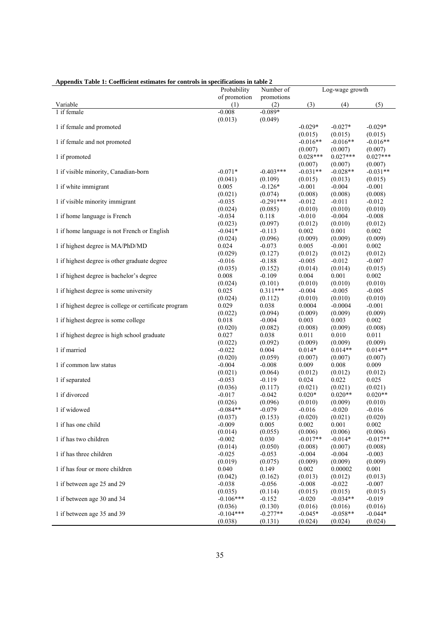| прения таже т. соспетните суппатся пот соци отя не specifications in takie 2 | Probability  | Number of             |            | Log-wage growth |            |
|------------------------------------------------------------------------------|--------------|-----------------------|------------|-----------------|------------|
|                                                                              |              |                       |            |                 |            |
|                                                                              | of promotion | promotions            |            |                 |            |
| Variable                                                                     | (1)          | (2)                   | (3)        | (4)             | (5)        |
| 1 if female                                                                  | $-0.008$     | $-0.089*$             |            |                 |            |
|                                                                              | (0.013)      | (0.049)               |            |                 |            |
| 1 if female and promoted                                                     |              |                       | $-0.029*$  | $-0.027*$       | $-0.029*$  |
|                                                                              |              |                       | (0.015)    | (0.015)         | (0.015)    |
| 1 if female and not promoted                                                 |              |                       | $-0.016**$ | $-0.016**$      | $-0.016**$ |
|                                                                              |              |                       | (0.007)    | (0.007)         | (0.007)    |
| 1 if promoted                                                                |              |                       | $0.028***$ | $0.027***$      | $0.027***$ |
|                                                                              |              |                       | (0.007)    | (0.007)         | (0.007)    |
| 1 if visible minority, Canadian-born                                         | $-0.071*$    | $-0.403***$           | $-0.031**$ | $-0.028**$      | $-0.031**$ |
|                                                                              | (0.041)      | (0.109)               | (0.015)    | (0.013)         | (0.015)    |
| 1 if white immigrant                                                         | 0.005        | $-0.126*$             | $-0.001$   | $-0.004$        | $-0.001$   |
|                                                                              |              |                       |            |                 |            |
|                                                                              | (0.021)      | (0.074)               | (0.008)    | (0.008)         | (0.008)    |
| 1 if visible minority immigrant                                              | $-0.035$     | $-0.291***$           | $-0.012$   | $-0.011$        | $-0.012$   |
|                                                                              | (0.024)      | (0.085)               | (0.010)    | (0.010)         | (0.010)    |
| 1 if home language is French                                                 | $-0.034$     | 0.118                 | $-0.010$   | $-0.004$        | $-0.008$   |
|                                                                              | (0.023)      | (0.097)               | (0.012)    | (0.010)         | (0.012)    |
| 1 if home language is not French or English                                  | $-0.041*$    | $-0.113$              | 0.002      | 0.001           | 0.002      |
|                                                                              | (0.024)      | (0.096)               | (0.009)    | (0.009)         | (0.009)    |
| 1 if highest degree is MA/PhD/MD                                             | 0.024        | $-0.073$              | 0.005      | $-0.001$        | 0.002      |
|                                                                              | (0.029)      | (0.127)               | (0.012)    | (0.012)         | (0.012)    |
| 1 if highest degree is other graduate degree                                 | $-0.016$     | $-0.188$              | $-0.005$   | $-0.012$        | $-0.007$   |
|                                                                              | (0.035)      | (0.152)               | (0.014)    | (0.014)         | (0.015)    |
| 1 if highest degree is bachelor's degree                                     | 0.008        | $-0.109$              | 0.004      | 0.001           | 0.002      |
|                                                                              |              |                       |            |                 | (0.010)    |
|                                                                              | (0.024)      | (0.101)<br>$0.311***$ | (0.010)    | (0.010)         |            |
| 1 if highest degree is some university                                       | 0.025        |                       | $-0.004$   | $-0.005$        | $-0.005$   |
|                                                                              | (0.024)      | (0.112)               | (0.010)    | (0.010)         | (0.010)    |
| 1 if highest degree is college or certificate program                        | 0.029        | 0.038                 | 0.0004     | $-0.0004$       | $-0.001$   |
|                                                                              | (0.022)      | (0.094)               | (0.009)    | (0.009)         | (0.009)    |
| 1 if highest degree is some college                                          | 0.018        | $-0.004$              | 0.003      | 0.003           | 0.002      |
|                                                                              | (0.020)      | (0.082)               | (0.008)    | (0.009)         | (0.008)    |
| 1 if highest degree is high school graduate                                  | 0.027        | 0.038                 | 0.011      | 0.010           | 0.011      |
|                                                                              | (0.022)      | (0.092)               | (0.009)    | (0.009)         | (0.009)    |
| 1 if married                                                                 | $-0.022$     | 0.004                 | $0.014*$   | $0.014**$       | $0.014**$  |
|                                                                              | (0.020)      | (0.059)               | (0.007)    | (0.007)         | (0.007)    |
| 1 if common law status                                                       | $-0.004$     | $-0.008$              | 0.009      | 0.008           | 0.009      |
|                                                                              | (0.021)      | (0.064)               | (0.012)    | (0.012)         | (0.012)    |
| 1 if separated                                                               | $-0.053$     | $-0.119$              | 0.024      | 0.022           | 0.025      |
|                                                                              | (0.036)      |                       |            | (0.021)         | (0.021)    |
| 1 if divorced                                                                |              | (0.117)               | (0.021)    | $0.020**$       | $0.020**$  |
|                                                                              | $-0.017$     | $-0.042$              | $0.020*$   |                 |            |
|                                                                              | (0.026)      | (0.096)               | (0.010)    | (0.009)         | (0.010)    |
| 1 if widowed                                                                 | $-0.084**$   | $-0.079$              | $-0.016$   | $-0.020$        | $-0.016$   |
|                                                                              | (0.037)      | (0.153)               | (0.020)    | (0.021)         | (0.020)    |
| 1 if has one child                                                           | $-0.009$     | 0.005                 | 0.002      | 0.001           | 0.002      |
|                                                                              | (0.014)      | (0.055)               | (0.006)    | (0.006)         | (0.006)    |
| 1 if has two children                                                        | $-0.002$     | 0.030                 | $-0.017**$ | $-0.014*$       | $-0.017**$ |
|                                                                              | (0.014)      | (0.050)               | (0.008)    | (0.007)         | (0.008)    |
| 1 if has three children                                                      | $-0.025$     | $-0.053$              | $-0.004$   | $-0.004$        | $-0.003$   |
|                                                                              | (0.019)      | (0.075)               | (0.009)    | (0.009)         | (0.009)    |
| 1 if has four or more children                                               | 0.040        | 0.149                 | 0.002      | 0.00002         | 0.001      |
|                                                                              | (0.042)      | (0.162)               | (0.013)    | (0.012)         | (0.013)    |
| 1 if between age 25 and 29                                                   | $-0.038$     | $-0.056$              | $-0.008$   | $-0.022$        | $-0.007$   |
|                                                                              |              |                       |            |                 |            |
|                                                                              | (0.035)      | (0.114)               | (0.015)    | (0.015)         | (0.015)    |
| 1 if between age 30 and 34                                                   | $-0.106***$  | $-0.152$              | $-0.020$   | $-0.034**$      | $-0.019$   |
|                                                                              | (0.036)      | (0.130)               | (0.016)    | (0.016)         | (0.016)    |
| 1 if between age 35 and 39                                                   | $-0.104***$  | $-0.277**$            | $-0.045*$  | $-0.058**$      | $-0.044*$  |
|                                                                              | (0.038)      | (0.131)               | (0.024)    | (0.024)         | (0.024)    |

#### **Appendix Table 1: Coefficient estimates for controls in specifications in table 2**